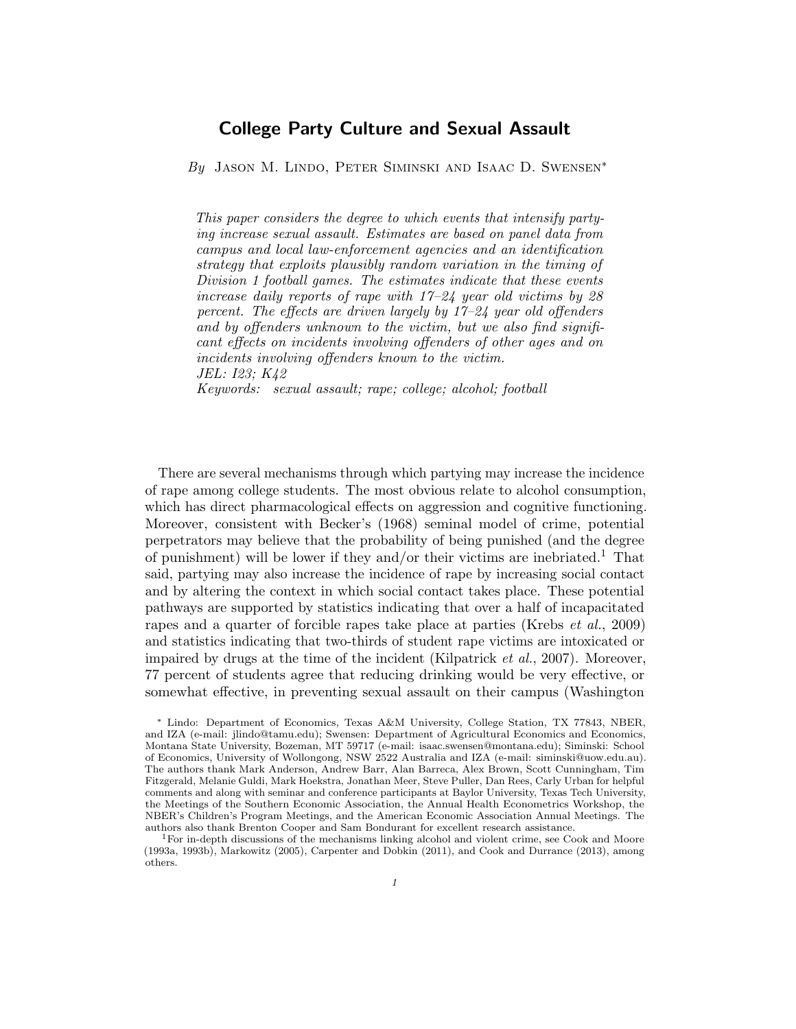# College Party Culture and Sexual Assault

By JASON M. LINDO, PETER SIMINSKI AND ISAAC D. SWENSEN<sup>\*</sup>

This paper considers the degree to which events that intensify partying increase sexual assault. Estimates are based on panel data from campus and local law-enforcement agencies and an identification strategy that exploits plausibly random variation in the timing of Division 1 football games. The estimates indicate that these events increase daily reports of rape with  $17-24$  year old victims by 28 percent. The effects are driven largely by 17–24 year old offenders and by offenders unknown to the victim, but we also find significant effects on incidents involving offenders of other ages and on incidents involving offenders known to the victim. JEL: I23; K42

Keywords: sexual assault; rape; college; alcohol; football

There are several mechanisms through which partying may increase the incidence of rape among college students. The most obvious relate to alcohol consumption, which has direct pharmacological effects on aggression and cognitive functioning. Moreover, consistent with Becker's (1968) seminal model of crime, potential perpetrators may believe that the probability of being punished (and the degree of punishment) will be lower if they and/or their victims are inebriated.<sup>1</sup> That said, partying may also increase the incidence of rape by increasing social contact and by altering the context in which social contact takes place. These potential pathways are supported by statistics indicating that over a half of incapacitated rapes and a quarter of forcible rapes take place at parties (Krebs et al., 2009) and statistics indicating that two-thirds of student rape victims are intoxicated or impaired by drugs at the time of the incident (Kilpatrick  $et al., 2007$ ). Moreover, 77 percent of students agree that reducing drinking would be very effective, or somewhat effective, in preventing sexual assault on their campus (Washington

<sup>∗</sup> Lindo: Department of Economics, Texas A&M University, College Station, TX 77843, NBER, and IZA (e-mail: jlindo@tamu.edu); Swensen: Department of Agricultural Economics and Economics, Montana State University, Bozeman, MT 59717 (e-mail: isaac.swensen@montana.edu); Siminski: School of Economics, University of Wollongong, NSW 2522 Australia and IZA (e-mail: siminski@uow.edu.au). The authors thank Mark Anderson, Andrew Barr, Alan Barreca, Alex Brown, Scott Cunningham, Tim Fitzgerald, Melanie Guldi, Mark Hoekstra, Jonathan Meer, Steve Puller, Dan Rees, Carly Urban for helpful comments and along with seminar and conference participants at Baylor University, Texas Tech University, the Meetings of the Southern Economic Association, the Annual Health Econometrics Workshop, the NBER's Children's Program Meetings, and the American Economic Association Annual Meetings. The authors also thank Brenton Cooper and Sam Bondurant for excellent research assistance.

<sup>1</sup>For in-depth discussions of the mechanisms linking alcohol and violent crime, see Cook and Moore (1993a, 1993b), Markowitz (2005), Carpenter and Dobkin (2011), and Cook and Durrance (2013), among others.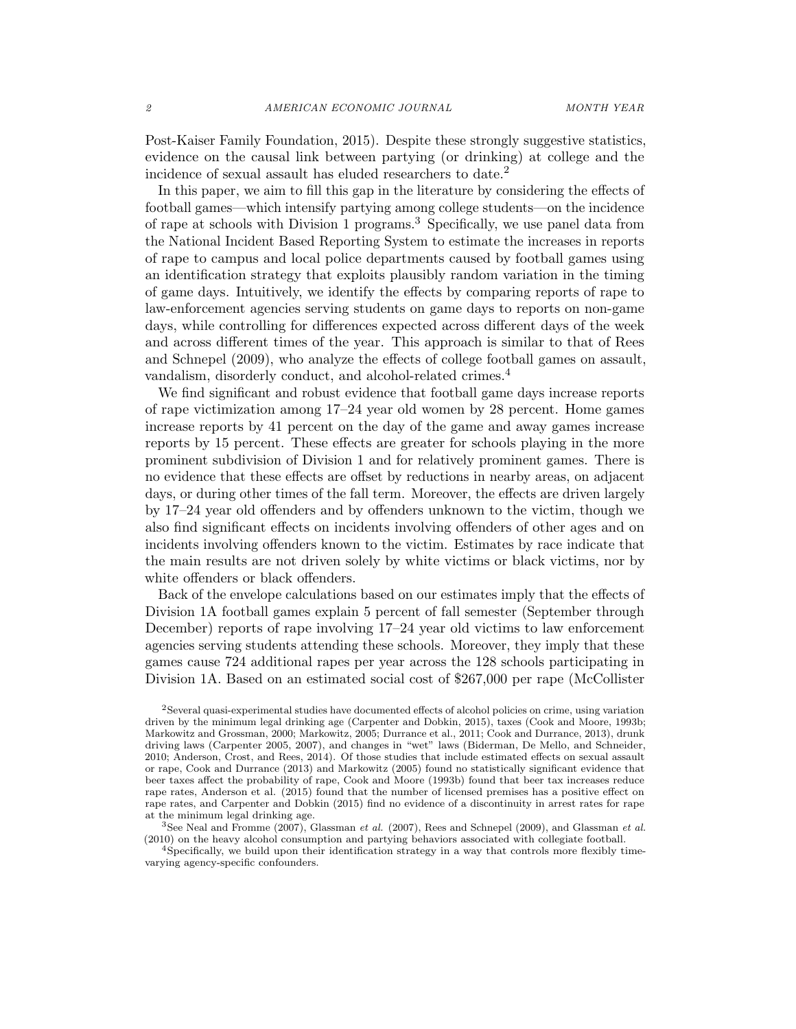Post-Kaiser Family Foundation, 2015). Despite these strongly suggestive statistics, evidence on the causal link between partying (or drinking) at college and the incidence of sexual assault has eluded researchers to date.<sup>2</sup>

In this paper, we aim to fill this gap in the literature by considering the effects of football games—which intensify partying among college students—on the incidence of rape at schools with Division 1 programs.<sup>3</sup> Specifically, we use panel data from the National Incident Based Reporting System to estimate the increases in reports of rape to campus and local police departments caused by football games using an identification strategy that exploits plausibly random variation in the timing of game days. Intuitively, we identify the effects by comparing reports of rape to law-enforcement agencies serving students on game days to reports on non-game days, while controlling for differences expected across different days of the week and across different times of the year. This approach is similar to that of Rees and Schnepel (2009), who analyze the effects of college football games on assault, vandalism, disorderly conduct, and alcohol-related crimes.<sup>4</sup>

We find significant and robust evidence that football game days increase reports of rape victimization among 17–24 year old women by 28 percent. Home games increase reports by 41 percent on the day of the game and away games increase reports by 15 percent. These effects are greater for schools playing in the more prominent subdivision of Division 1 and for relatively prominent games. There is no evidence that these effects are offset by reductions in nearby areas, on adjacent days, or during other times of the fall term. Moreover, the effects are driven largely by 17–24 year old offenders and by offenders unknown to the victim, though we also find significant effects on incidents involving offenders of other ages and on incidents involving offenders known to the victim. Estimates by race indicate that the main results are not driven solely by white victims or black victims, nor by white offenders or black offenders.

Back of the envelope calculations based on our estimates imply that the effects of Division 1A football games explain 5 percent of fall semester (September through December) reports of rape involving 17–24 year old victims to law enforcement agencies serving students attending these schools. Moreover, they imply that these games cause 724 additional rapes per year across the 128 schools participating in Division 1A. Based on an estimated social cost of \$267,000 per rape (McCollister

<sup>3</sup>See Neal and Fromme (2007), Glassman et al. (2007), Rees and Schnepel (2009), and Glassman et al. (2010) on the heavy alcohol consumption and partying behaviors associated with collegiate football.

<sup>4</sup>Specifically, we build upon their identification strategy in a way that controls more flexibly timevarying agency-specific confounders.

<sup>2</sup>Several quasi-experimental studies have documented effects of alcohol policies on crime, using variation driven by the minimum legal drinking age (Carpenter and Dobkin, 2015), taxes (Cook and Moore, 1993b; Markowitz and Grossman, 2000; Markowitz, 2005; Durrance et al., 2011; Cook and Durrance, 2013), drunk driving laws (Carpenter 2005, 2007), and changes in "wet" laws (Biderman, De Mello, and Schneider, 2010; Anderson, Crost, and Rees, 2014). Of those studies that include estimated effects on sexual assault or rape, Cook and Durrance (2013) and Markowitz (2005) found no statistically significant evidence that beer taxes affect the probability of rape, Cook and Moore (1993b) found that beer tax increases reduce rape rates, Anderson et al. (2015) found that the number of licensed premises has a positive effect on rape rates, and Carpenter and Dobkin (2015) find no evidence of a discontinuity in arrest rates for rape at the minimum legal drinking age.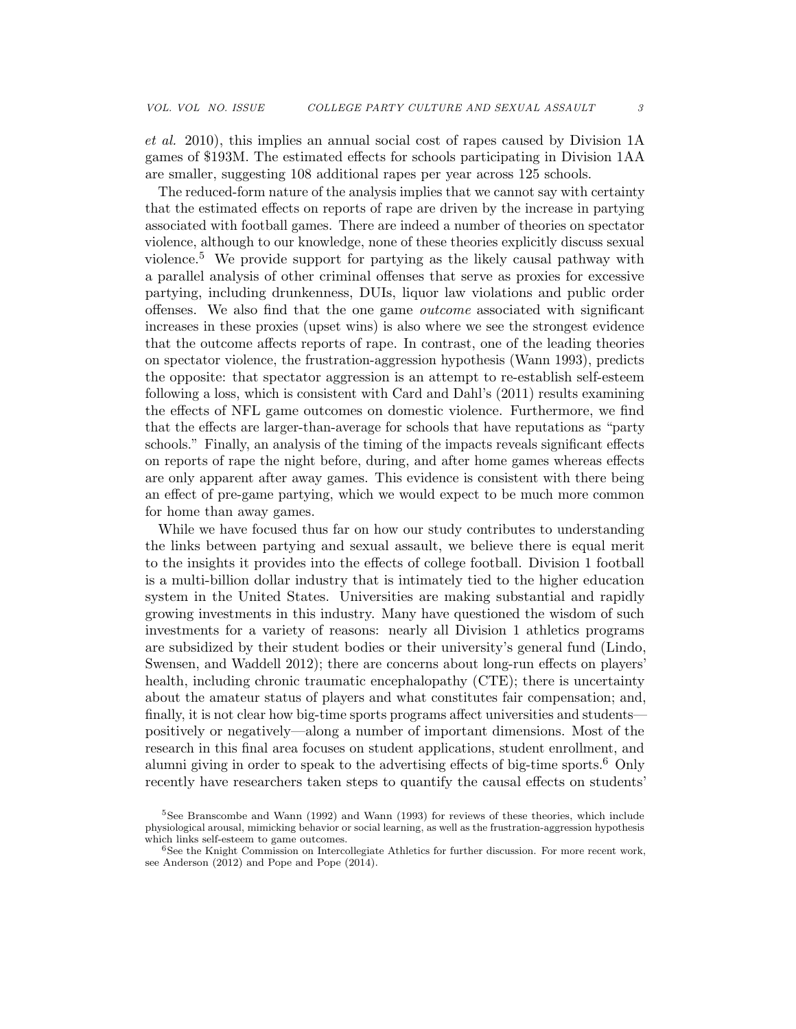et al. 2010), this implies an annual social cost of rapes caused by Division 1A games of \$193M. The estimated effects for schools participating in Division 1AA are smaller, suggesting 108 additional rapes per year across 125 schools.

The reduced-form nature of the analysis implies that we cannot say with certainty that the estimated effects on reports of rape are driven by the increase in partying associated with football games. There are indeed a number of theories on spectator violence, although to our knowledge, none of these theories explicitly discuss sexual violence.<sup>5</sup> We provide support for partying as the likely causal pathway with a parallel analysis of other criminal offenses that serve as proxies for excessive partying, including drunkenness, DUIs, liquor law violations and public order offenses. We also find that the one game outcome associated with significant increases in these proxies (upset wins) is also where we see the strongest evidence that the outcome affects reports of rape. In contrast, one of the leading theories on spectator violence, the frustration-aggression hypothesis (Wann 1993), predicts the opposite: that spectator aggression is an attempt to re-establish self-esteem following a loss, which is consistent with Card and Dahl's (2011) results examining the effects of NFL game outcomes on domestic violence. Furthermore, we find that the effects are larger-than-average for schools that have reputations as "party schools." Finally, an analysis of the timing of the impacts reveals significant effects on reports of rape the night before, during, and after home games whereas effects are only apparent after away games. This evidence is consistent with there being an effect of pre-game partying, which we would expect to be much more common for home than away games.

While we have focused thus far on how our study contributes to understanding the links between partying and sexual assault, we believe there is equal merit to the insights it provides into the effects of college football. Division 1 football is a multi-billion dollar industry that is intimately tied to the higher education system in the United States. Universities are making substantial and rapidly growing investments in this industry. Many have questioned the wisdom of such investments for a variety of reasons: nearly all Division 1 athletics programs are subsidized by their student bodies or their university's general fund (Lindo, Swensen, and Waddell 2012); there are concerns about long-run effects on players' health, including chronic traumatic encephalopathy (CTE); there is uncertainty about the amateur status of players and what constitutes fair compensation; and, finally, it is not clear how big-time sports programs affect universities and students positively or negatively—along a number of important dimensions. Most of the research in this final area focuses on student applications, student enrollment, and alumni giving in order to speak to the advertising effects of big-time sports.<sup>6</sup> Only recently have researchers taken steps to quantify the causal effects on students'

 $5$ See Branscombe and Wann (1992) and Wann (1993) for reviews of these theories, which include physiological arousal, mimicking behavior or social learning, as well as the frustration-aggression hypothesis which links self-esteem to game outcomes.

 $6$ See the Knight Commission on Intercollegiate Athletics for further discussion. For more recent work, see Anderson (2012) and Pope and Pope (2014).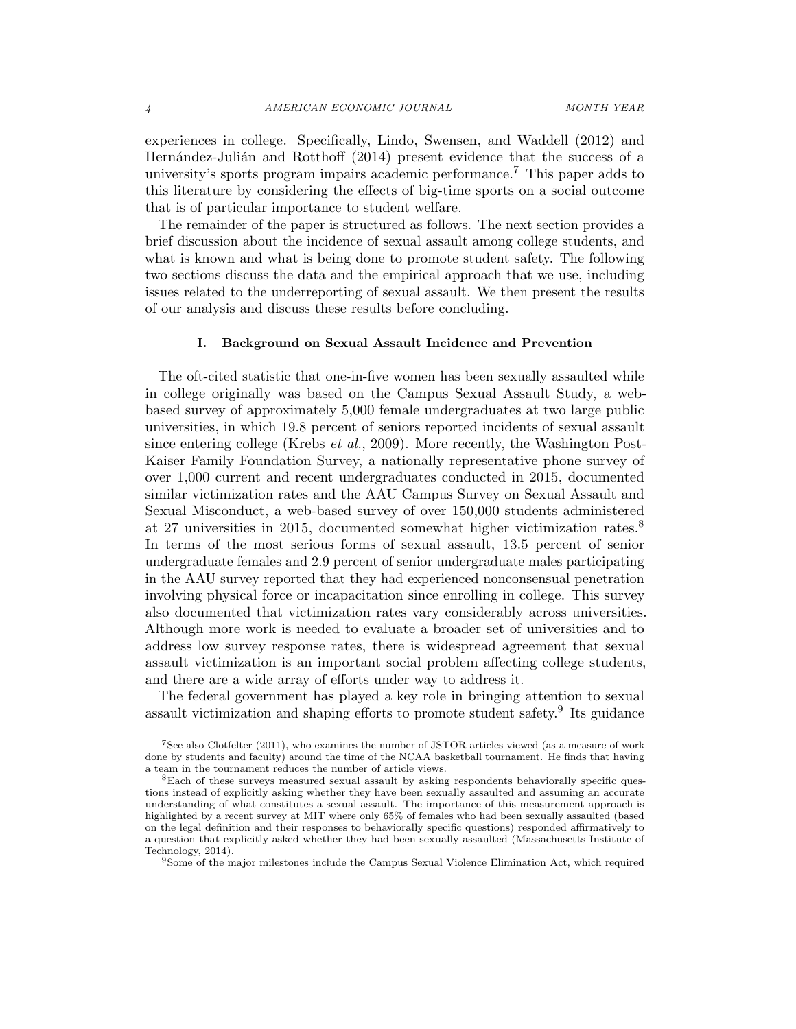experiences in college. Specifically, Lindo, Swensen, and Waddell (2012) and Hernández-Julián and Rotthoff  $(2014)$  present evidence that the success of a university's sports program impairs academic performance.<sup>7</sup> This paper adds to this literature by considering the effects of big-time sports on a social outcome that is of particular importance to student welfare.

The remainder of the paper is structured as follows. The next section provides a brief discussion about the incidence of sexual assault among college students, and what is known and what is being done to promote student safety. The following two sections discuss the data and the empirical approach that we use, including issues related to the underreporting of sexual assault. We then present the results of our analysis and discuss these results before concluding.

# I. Background on Sexual Assault Incidence and Prevention

<span id="page-3-0"></span>The oft-cited statistic that one-in-five women has been sexually assaulted while in college originally was based on the Campus Sexual Assault Study, a webbased survey of approximately 5,000 female undergraduates at two large public universities, in which 19.8 percent of seniors reported incidents of sexual assault since entering college (Krebs et al., 2009). More recently, the Washington Post-Kaiser Family Foundation Survey, a nationally representative phone survey of over 1,000 current and recent undergraduates conducted in 2015, documented similar victimization rates and the AAU Campus Survey on Sexual Assault and Sexual Misconduct, a web-based survey of over 150,000 students administered at 27 universities in 2015, documented somewhat higher victimization rates.<sup>8</sup> In terms of the most serious forms of sexual assault, 13.5 percent of senior undergraduate females and 2.9 percent of senior undergraduate males participating in the AAU survey reported that they had experienced nonconsensual penetration involving physical force or incapacitation since enrolling in college. This survey also documented that victimization rates vary considerably across universities. Although more work is needed to evaluate a broader set of universities and to address low survey response rates, there is widespread agreement that sexual assault victimization is an important social problem affecting college students, and there are a wide array of efforts under way to address it.

The federal government has played a key role in bringing attention to sexual assault victimization and shaping efforts to promote student safety.<sup>9</sup> Its guidance

<sup>9</sup>Some of the major milestones include the Campus Sexual Violence Elimination Act, which required

<sup>7</sup>See also Clotfelter (2011), who examines the number of JSTOR articles viewed (as a measure of work done by students and faculty) around the time of the NCAA basketball tournament. He finds that having a team in the tournament reduces the number of article views.

<sup>8</sup>Each of these surveys measured sexual assault by asking respondents behaviorally specific questions instead of explicitly asking whether they have been sexually assaulted and assuming an accurate understanding of what constitutes a sexual assault. The importance of this measurement approach is highlighted by a recent survey at MIT where only 65% of females who had been sexually assaulted (based on the legal definition and their responses to behaviorally specific questions) responded affirmatively to a question that explicitly asked whether they had been sexually assaulted (Massachusetts Institute of Technology, 2014).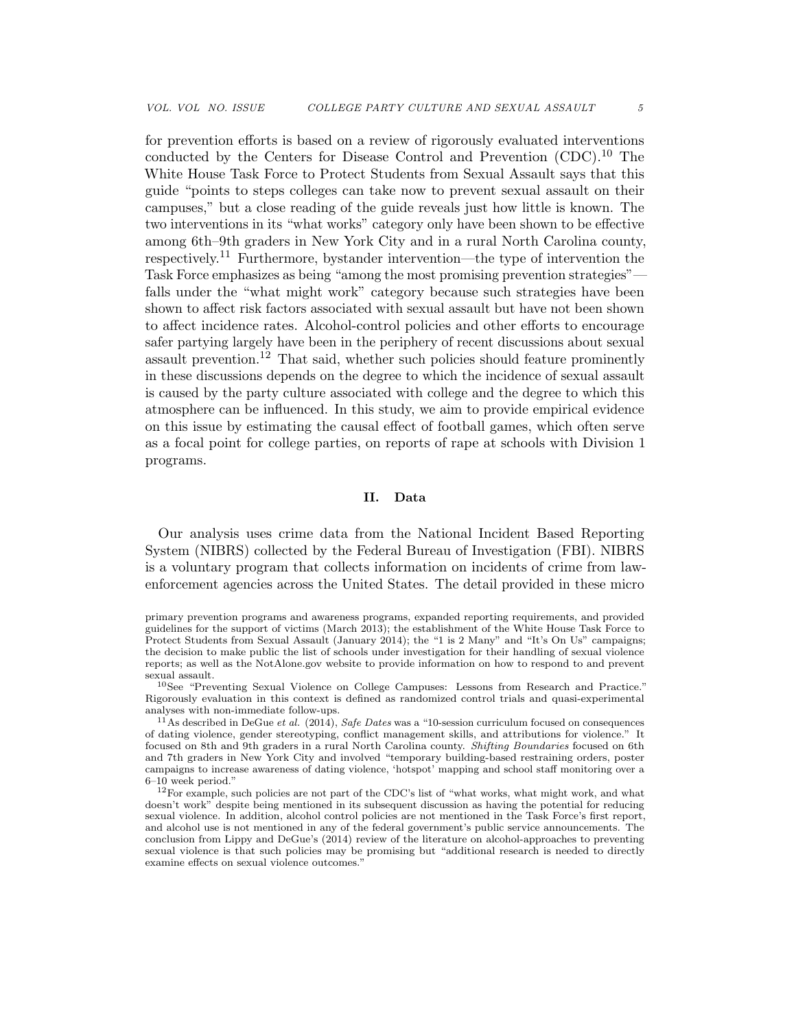for prevention efforts is based on a review of rigorously evaluated interventions conducted by the Centers for Disease Control and Prevention (CDC).<sup>10</sup> The White House Task Force to Protect Students from Sexual Assault says that this guide "points to steps colleges can take now to prevent sexual assault on their campuses," but a close reading of the guide reveals just how little is known. The two interventions in its "what works" category only have been shown to be effective among 6th–9th graders in New York City and in a rural North Carolina county, respectively.<sup>11</sup> Furthermore, bystander intervention—the type of intervention the Task Force emphasizes as being "among the most promising prevention strategies" falls under the "what might work" category because such strategies have been shown to affect risk factors associated with sexual assault but have not been shown to affect incidence rates. Alcohol-control policies and other efforts to encourage safer partying largely have been in the periphery of recent discussions about sexual assault prevention.<sup>12</sup> That said, whether such policies should feature prominently in these discussions depends on the degree to which the incidence of sexual assault is caused by the party culture associated with college and the degree to which this atmosphere can be influenced. In this study, we aim to provide empirical evidence on this issue by estimating the causal effect of football games, which often serve as a focal point for college parties, on reports of rape at schools with Division 1 programs.

## II. Data

<span id="page-4-0"></span>Our analysis uses crime data from the National Incident Based Reporting System (NIBRS) collected by the Federal Bureau of Investigation (FBI). NIBRS is a voluntary program that collects information on incidents of crime from lawenforcement agencies across the United States. The detail provided in these micro

primary prevention programs and awareness programs, expanded reporting requirements, and provided guidelines for the support of victims (March 2013); the establishment of the White House Task Force to Protect Students from Sexual Assault (January 2014); the "1 is 2 Many" and "It's On Us" campaigns; the decision to make public the list of schools under investigation for their handling of sexual violence reports; as well as the NotAlone.gov website to provide information on how to respond to and prevent sexual assault.

<sup>10</sup>See "Preventing Sexual Violence on College Campuses: Lessons from Research and Practice." Rigorously evaluation in this context is defined as randomized control trials and quasi-experimental analyses with non-immediate follow-ups.

 $11$ As described in DeGue *et al.* (2014), Safe Dates was a "10-session curriculum focused on consequences of dating violence, gender stereotyping, conflict management skills, and attributions for violence." It focused on 8th and 9th graders in a rural North Carolina county. Shifting Boundaries focused on 6th and 7th graders in New York City and involved "temporary building-based restraining orders, poster campaigns to increase awareness of dating violence, 'hotspot' mapping and school staff monitoring over a 6–10 week period."

<sup>12</sup>For example, such policies are not part of the CDC's list of "what works, what might work, and what doesn't work" despite being mentioned in its subsequent discussion as having the potential for reducing sexual violence. In addition, alcohol control policies are not mentioned in the Task Force's first report, and alcohol use is not mentioned in any of the federal government's public service announcements. The conclusion from Lippy and DeGue's (2014) review of the literature on alcohol-approaches to preventing sexual violence is that such policies may be promising but "additional research is needed to directly examine effects on sexual violence outcomes.'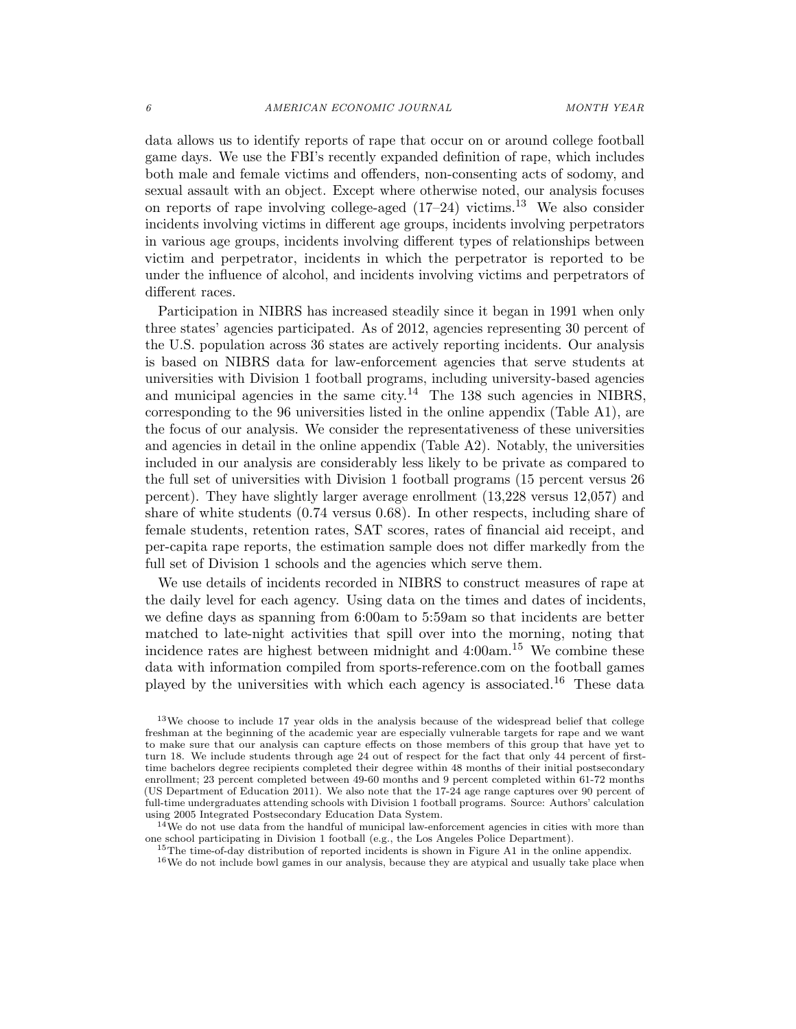data allows us to identify reports of rape that occur on or around college football game days. We use the FBI's recently expanded definition of rape, which includes both male and female victims and offenders, non-consenting acts of sodomy, and sexual assault with an object. Except where otherwise noted, our analysis focuses on reports of rape involving college-aged  $(17–24)$  victims.<sup>13</sup> We also consider incidents involving victims in different age groups, incidents involving perpetrators in various age groups, incidents involving different types of relationships between victim and perpetrator, incidents in which the perpetrator is reported to be under the influence of alcohol, and incidents involving victims and perpetrators of different races.

Participation in NIBRS has increased steadily since it began in 1991 when only three states' agencies participated. As of 2012, agencies representing 30 percent of the U.S. population across 36 states are actively reporting incidents. Our analysis is based on NIBRS data for law-enforcement agencies that serve students at universities with Division 1 football programs, including university-based agencies and municipal agencies in the same city.<sup>14 The 138</sup> such agencies in NIBRS, corresponding to the 96 universities listed in the online appendix (Table A1), are the focus of our analysis. We consider the representativeness of these universities and agencies in detail in the online appendix (Table A2). Notably, the universities included in our analysis are considerably less likely to be private as compared to the full set of universities with Division 1 football programs (15 percent versus 26 percent). They have slightly larger average enrollment (13,228 versus 12,057) and share of white students (0.74 versus 0.68). In other respects, including share of female students, retention rates, SAT scores, rates of financial aid receipt, and per-capita rape reports, the estimation sample does not differ markedly from the full set of Division 1 schools and the agencies which serve them.

We use details of incidents recorded in NIBRS to construct measures of rape at the daily level for each agency. Using data on the times and dates of incidents, we define days as spanning from 6:00am to 5:59am so that incidents are better matched to late-night activities that spill over into the morning, noting that incidence rates are highest between midnight and  $4:00$ am.<sup>15</sup> We combine these data with information compiled from sports-reference.com on the football games played by the universities with which each agency is associated.<sup>16</sup> These data

 $^{16}\mathrm{We}$  do not include bowl games in our analysis, because they are atypical and usually take place when

<sup>&</sup>lt;sup>13</sup>We choose to include 17 year olds in the analysis because of the widespread belief that college freshman at the beginning of the academic year are especially vulnerable targets for rape and we want to make sure that our analysis can capture effects on those members of this group that have yet to turn 18. We include students through age 24 out of respect for the fact that only 44 percent of firsttime bachelors degree recipients completed their degree within 48 months of their initial postsecondary enrollment; 23 percent completed between 49-60 months and 9 percent completed within 61-72 months (US Department of Education 2011). We also note that the 17-24 age range captures over 90 percent of full-time undergraduates attending schools with Division 1 football programs. Source: Authors' calculation using 2005 Integrated Postsecondary Education Data System.

 $14$ We do not use data from the handful of municipal law-enforcement agencies in cities with more than one school participating in Division 1 football (e.g., the Los Angeles Police Department).

<sup>&</sup>lt;sup>15</sup>The time-of-day distribution of reported incidents is shown in Figure A1 in the online appendix.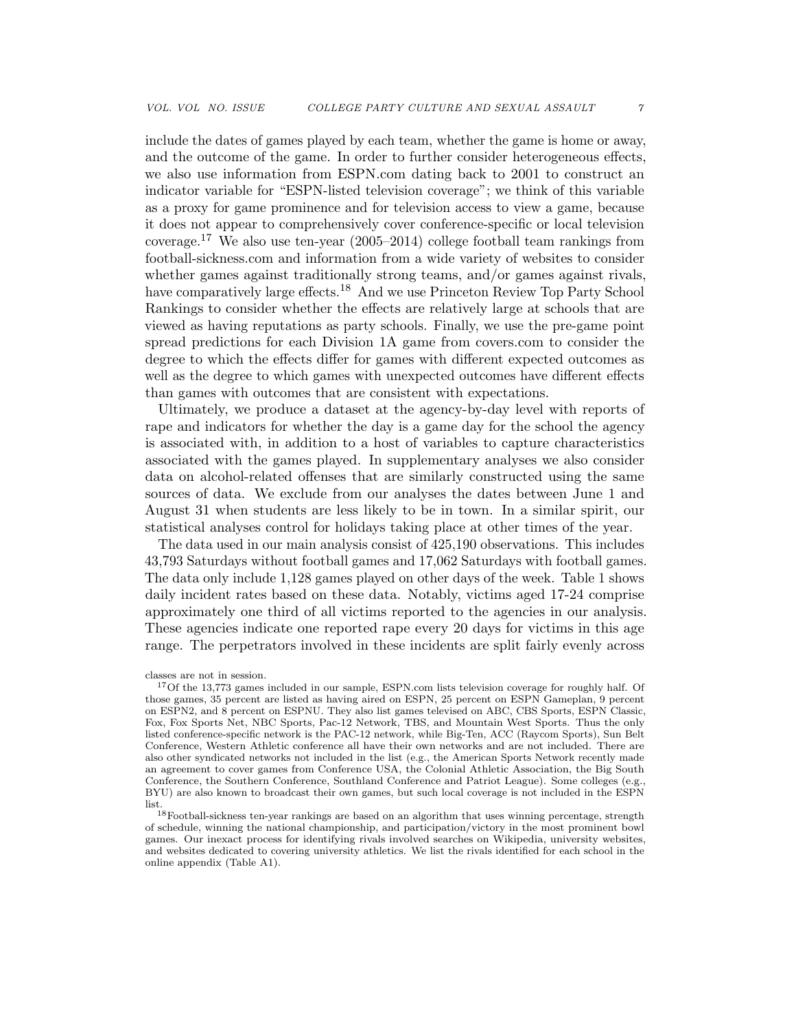include the dates of games played by each team, whether the game is home or away, and the outcome of the game. In order to further consider heterogeneous effects, we also use information from ESPN.com dating back to 2001 to construct an indicator variable for "ESPN-listed television coverage"; we think of this variable as a proxy for game prominence and for television access to view a game, because it does not appear to comprehensively cover conference-specific or local television coverage.<sup>17</sup> We also use ten-year  $(2005-2014)$  college football team rankings from football-sickness.com and information from a wide variety of websites to consider whether games against traditionally strong teams, and/or games against rivals, have comparatively large effects.<sup>18</sup> And we use Princeton Review Top Party School Rankings to consider whether the effects are relatively large at schools that are viewed as having reputations as party schools. Finally, we use the pre-game point spread predictions for each Division 1A game from covers.com to consider the degree to which the effects differ for games with different expected outcomes as well as the degree to which games with unexpected outcomes have different effects than games with outcomes that are consistent with expectations.

Ultimately, we produce a dataset at the agency-by-day level with reports of rape and indicators for whether the day is a game day for the school the agency is associated with, in addition to a host of variables to capture characteristics associated with the games played. In supplementary analyses we also consider data on alcohol-related offenses that are similarly constructed using the same sources of data. We exclude from our analyses the dates between June 1 and August 31 when students are less likely to be in town. In a similar spirit, our statistical analyses control for holidays taking place at other times of the year.

The data used in our main analysis consist of 425,190 observations. This includes 43,793 Saturdays without football games and 17,062 Saturdays with football games. The data only include 1,128 games played on other days of the week. Table [1](#page-28-0) shows daily incident rates based on these data. Notably, victims aged 17-24 comprise approximately one third of all victims reported to the agencies in our analysis. These agencies indicate one reported rape every 20 days for victims in this age range. The perpetrators involved in these incidents are split fairly evenly across

#### classes are not in session.

<sup>&</sup>lt;sup>17</sup>Of the 13,773 games included in our sample, ESPN.com lists television coverage for roughly half. Of those games, 35 percent are listed as having aired on ESPN, 25 percent on ESPN Gameplan, 9 percent on ESPN2, and 8 percent on ESPNU. They also list games televised on ABC, CBS Sports, ESPN Classic, Fox, Fox Sports Net, NBC Sports, Pac-12 Network, TBS, and Mountain West Sports. Thus the only listed conference-specific network is the PAC-12 network, while Big-Ten, ACC (Raycom Sports), Sun Belt Conference, Western Athletic conference all have their own networks and are not included. There are also other syndicated networks not included in the list (e.g., the American Sports Network recently made an agreement to cover games from Conference USA, the Colonial Athletic Association, the Big South Conference, the Southern Conference, Southland Conference and Patriot League). Some colleges (e.g., BYU) are also known to broadcast their own games, but such local coverage is not included in the ESPN list.

<sup>&</sup>lt;sup>18</sup>Football-sickness ten-year rankings are based on an algorithm that uses winning percentage, strength of schedule, winning the national championship, and participation/victory in the most prominent bowl games. Our inexact process for identifying rivals involved searches on Wikipedia, university websites, and websites dedicated to covering university athletics. We list the rivals identified for each school in the online appendix (Table A1).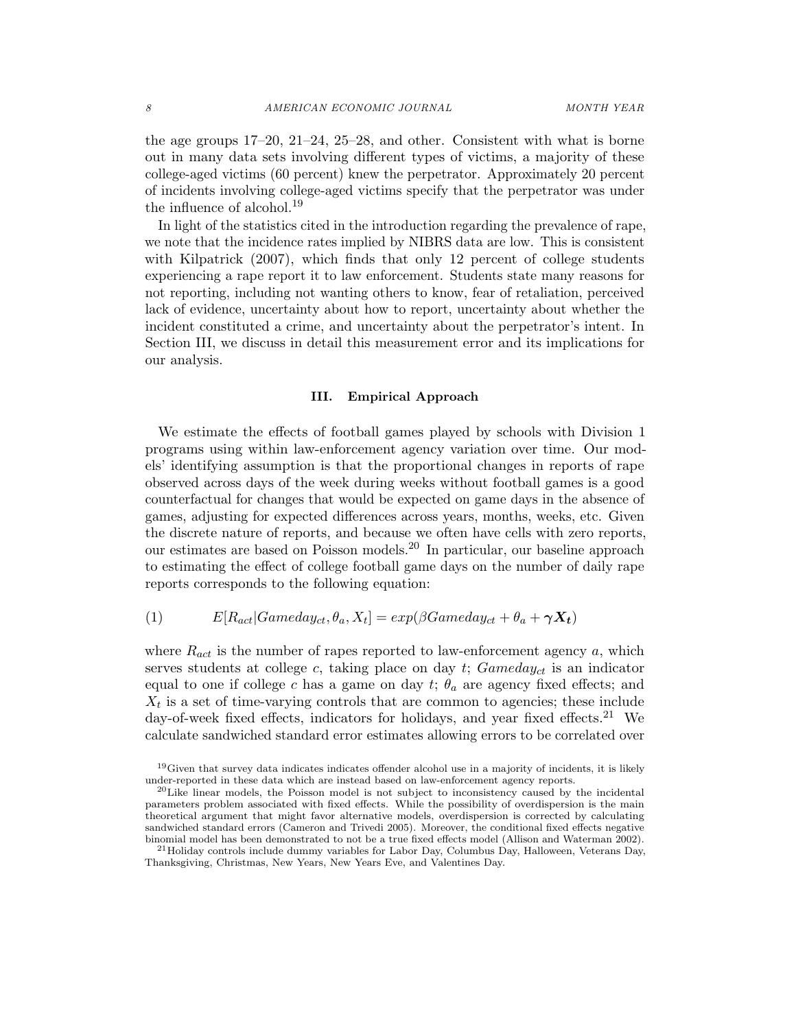the age groups 17–20, 21–24, 25–28, and other. Consistent with what is borne out in many data sets involving different types of victims, a majority of these college-aged victims (60 percent) knew the perpetrator. Approximately 20 percent of incidents involving college-aged victims specify that the perpetrator was under the influence of alcohol.<sup>19</sup>

In light of the statistics cited in the introduction regarding the prevalence of rape, we note that the incidence rates implied by NIBRS data are low. This is consistent with Kilpatrick (2007), which finds that only 12 percent of college students experiencing a rape report it to law enforcement. Students state many reasons for not reporting, including not wanting others to know, fear of retaliation, perceived lack of evidence, uncertainty about how to report, uncertainty about whether the incident constituted a crime, and uncertainty about the perpetrator's intent. In Section [III,](#page-7-0) we discuss in detail this measurement error and its implications for our analysis.

#### III. Empirical Approach

<span id="page-7-0"></span>We estimate the effects of football games played by schools with Division 1 programs using within law-enforcement agency variation over time. Our models' identifying assumption is that the proportional changes in reports of rape observed across days of the week during weeks without football games is a good counterfactual for changes that would be expected on game days in the absence of games, adjusting for expected differences across years, months, weeks, etc. Given the discrete nature of reports, and because we often have cells with zero reports, our estimates are based on Poisson models.<sup>20</sup> In particular, our baseline approach to estimating the effect of college football game days on the number of daily rape reports corresponds to the following equation:

<span id="page-7-1"></span>(1) 
$$
E[R_{act}|Gameday_{ct}, \theta_a, X_t] = exp(\beta Gameday_{ct} + \theta_a + \gamma X_t)
$$

where  $R_{act}$  is the number of rapes reported to law-enforcement agency  $a$ , which serves students at college c, taking place on day  $t$ ;  $Gameday_{ct}$  is an indicator equal to one if college c has a game on day  $t$ ;  $\theta_a$  are agency fixed effects; and  $X_t$  is a set of time-varying controls that are common to agencies; these include day-of-week fixed effects, indicators for holidays, and year fixed effects.<sup>21</sup> We calculate sandwiched standard error estimates allowing errors to be correlated over

<sup>&</sup>lt;sup>19</sup>Given that survey data indicates indicates offender alcohol use in a majority of incidents, it is likely under-reported in these data which are instead based on law-enforcement agency reports.

 $^{20}$ Like linear models, the Poisson model is not subject to inconsistency caused by the incidental parameters problem associated with fixed effects. While the possibility of overdispersion is the main theoretical argument that might favor alternative models, overdispersion is corrected by calculating sandwiched standard errors (Cameron and Trivedi 2005). Moreover, the conditional fixed effects negative binomial model has been demonstrated to not be a true fixed effects model (Allison and Waterman 2002).

<sup>21</sup>Holiday controls include dummy variables for Labor Day, Columbus Day, Halloween, Veterans Day, Thanksgiving, Christmas, New Years, New Years Eve, and Valentines Day.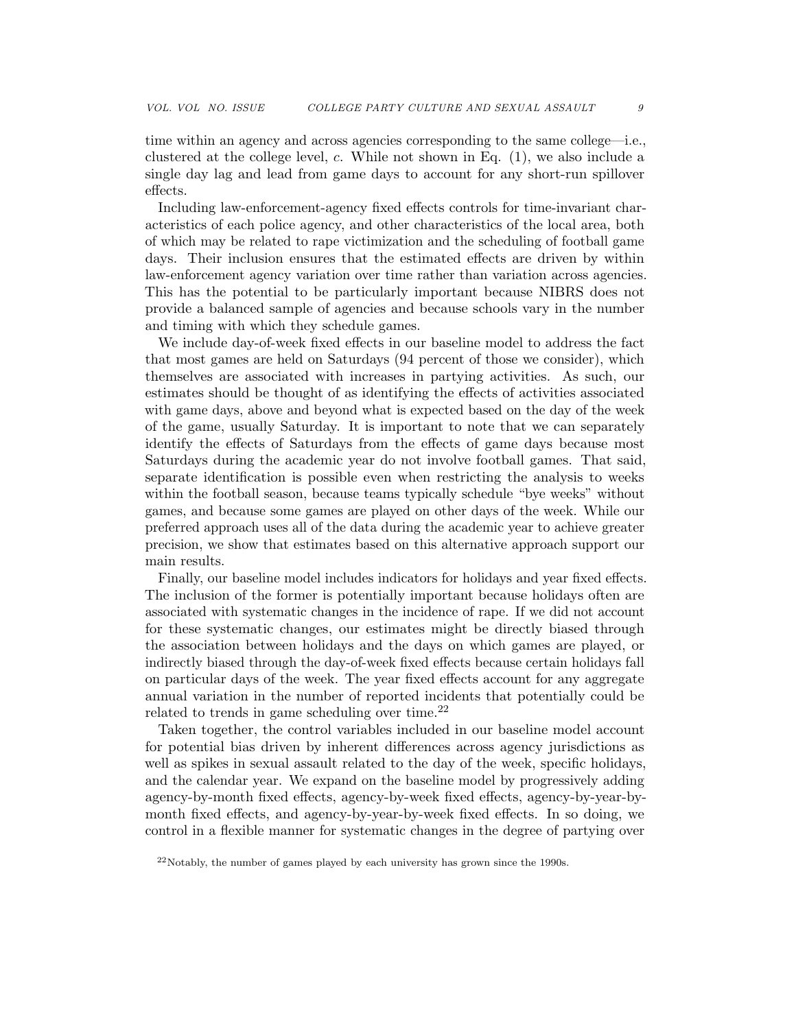time within an agency and across agencies corresponding to the same college—i.e., clustered at the college level,  $c$ . While not shown in Eq.  $(1)$ , we also include a single day lag and lead from game days to account for any short-run spillover effects.

Including law-enforcement-agency fixed effects controls for time-invariant characteristics of each police agency, and other characteristics of the local area, both of which may be related to rape victimization and the scheduling of football game days. Their inclusion ensures that the estimated effects are driven by within law-enforcement agency variation over time rather than variation across agencies. This has the potential to be particularly important because NIBRS does not provide a balanced sample of agencies and because schools vary in the number and timing with which they schedule games.

We include day-of-week fixed effects in our baseline model to address the fact that most games are held on Saturdays (94 percent of those we consider), which themselves are associated with increases in partying activities. As such, our estimates should be thought of as identifying the effects of activities associated with game days, above and beyond what is expected based on the day of the week of the game, usually Saturday. It is important to note that we can separately identify the effects of Saturdays from the effects of game days because most Saturdays during the academic year do not involve football games. That said, separate identification is possible even when restricting the analysis to weeks within the football season, because teams typically schedule "bye weeks" without games, and because some games are played on other days of the week. While our preferred approach uses all of the data during the academic year to achieve greater precision, we show that estimates based on this alternative approach support our main results.

Finally, our baseline model includes indicators for holidays and year fixed effects. The inclusion of the former is potentially important because holidays often are associated with systematic changes in the incidence of rape. If we did not account for these systematic changes, our estimates might be directly biased through the association between holidays and the days on which games are played, or indirectly biased through the day-of-week fixed effects because certain holidays fall on particular days of the week. The year fixed effects account for any aggregate annual variation in the number of reported incidents that potentially could be related to trends in game scheduling over time.<sup>22</sup>

Taken together, the control variables included in our baseline model account for potential bias driven by inherent differences across agency jurisdictions as well as spikes in sexual assault related to the day of the week, specific holidays, and the calendar year. We expand on the baseline model by progressively adding agency-by-month fixed effects, agency-by-week fixed effects, agency-by-year-bymonth fixed effects, and agency-by-year-by-week fixed effects. In so doing, we control in a flexible manner for systematic changes in the degree of partying over

<sup>22</sup>Notably, the number of games played by each university has grown since the 1990s.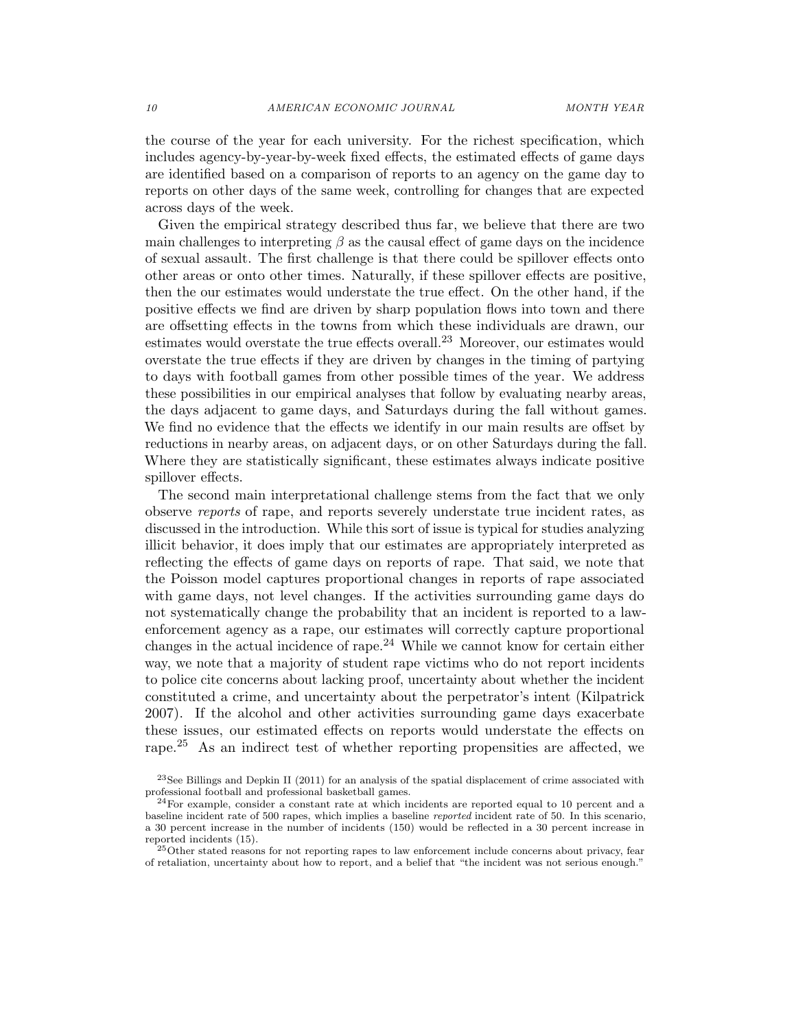the course of the year for each university. For the richest specification, which includes agency-by-year-by-week fixed effects, the estimated effects of game days are identified based on a comparison of reports to an agency on the game day to reports on other days of the same week, controlling for changes that are expected across days of the week.

Given the empirical strategy described thus far, we believe that there are two main challenges to interpreting  $\beta$  as the causal effect of game days on the incidence of sexual assault. The first challenge is that there could be spillover effects onto other areas or onto other times. Naturally, if these spillover effects are positive, then the our estimates would understate the true effect. On the other hand, if the positive effects we find are driven by sharp population flows into town and there are offsetting effects in the towns from which these individuals are drawn, our estimates would overstate the true effects overall.<sup>23</sup> Moreover, our estimates would overstate the true effects if they are driven by changes in the timing of partying to days with football games from other possible times of the year. We address these possibilities in our empirical analyses that follow by evaluating nearby areas, the days adjacent to game days, and Saturdays during the fall without games. We find no evidence that the effects we identify in our main results are offset by reductions in nearby areas, on adjacent days, or on other Saturdays during the fall. Where they are statistically significant, these estimates always indicate positive spillover effects.

The second main interpretational challenge stems from the fact that we only observe reports of rape, and reports severely understate true incident rates, as discussed in the introduction. While this sort of issue is typical for studies analyzing illicit behavior, it does imply that our estimates are appropriately interpreted as reflecting the effects of game days on reports of rape. That said, we note that the Poisson model captures proportional changes in reports of rape associated with game days, not level changes. If the activities surrounding game days do not systematically change the probability that an incident is reported to a lawenforcement agency as a rape, our estimates will correctly capture proportional changes in the actual incidence of rape.<sup>24</sup> While we cannot know for certain either way, we note that a majority of student rape victims who do not report incidents to police cite concerns about lacking proof, uncertainty about whether the incident constituted a crime, and uncertainty about the perpetrator's intent (Kilpatrick 2007). If the alcohol and other activities surrounding game days exacerbate these issues, our estimated effects on reports would understate the effects on rape.<sup>25</sup> As an indirect test of whether reporting propensities are affected, we

<sup>23</sup>See Billings and Depkin II (2011) for an analysis of the spatial displacement of crime associated with professional football and professional basketball games.

 $24$ For example, consider a constant rate at which incidents are reported equal to 10 percent and a baseline incident rate of 500 rapes, which implies a baseline reported incident rate of 50. In this scenario, a 30 percent increase in the number of incidents (150) would be reflected in a 30 percent increase in reported incidents (15).

<sup>&</sup>lt;sup>25</sup>Other stated reasons for not reporting rapes to law enforcement include concerns about privacy, fear of retaliation, uncertainty about how to report, and a belief that "the incident was not serious enough."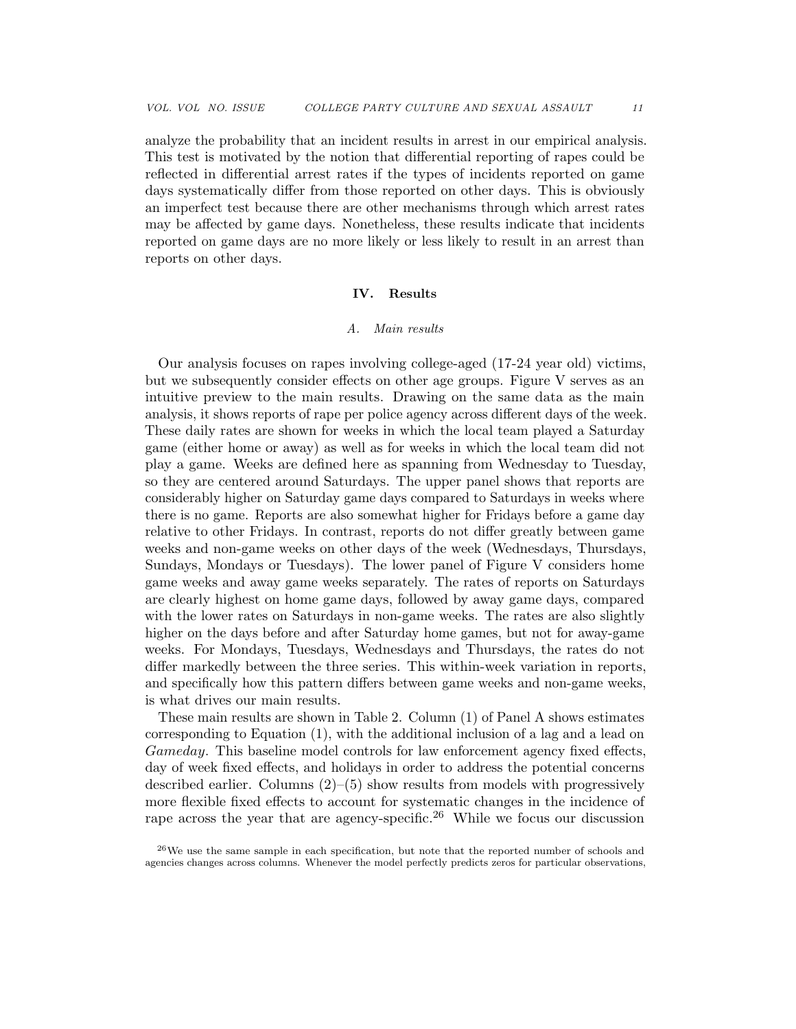analyze the probability that an incident results in arrest in our empirical analysis. This test is motivated by the notion that differential reporting of rapes could be reflected in differential arrest rates if the types of incidents reported on game days systematically differ from those reported on other days. This is obviously an imperfect test because there are other mechanisms through which arrest rates may be affected by game days. Nonetheless, these results indicate that incidents reported on game days are no more likely or less likely to result in an arrest than reports on other days.

# IV. Results

### A. Main results

Our analysis focuses on rapes involving college-aged (17-24 year old) victims, but we subsequently consider effects on other age groups. Figure [V](#page-23-0) serves as an intuitive preview to the main results. Drawing on the same data as the main analysis, it shows reports of rape per police agency across different days of the week. These daily rates are shown for weeks in which the local team played a Saturday game (either home or away) as well as for weeks in which the local team did not play a game. Weeks are defined here as spanning from Wednesday to Tuesday, so they are centered around Saturdays. The upper panel shows that reports are considerably higher on Saturday game days compared to Saturdays in weeks where there is no game. Reports are also somewhat higher for Fridays before a game day relative to other Fridays. In contrast, reports do not differ greatly between game weeks and non-game weeks on other days of the week (Wednesdays, Thursdays, Sundays, Mondays or Tuesdays). The lower panel of Figure [V](#page-23-0) considers home game weeks and away game weeks separately. The rates of reports on Saturdays are clearly highest on home game days, followed by away game days, compared with the lower rates on Saturdays in non-game weeks. The rates are also slightly higher on the days before and after Saturday home games, but not for away-game weeks. For Mondays, Tuesdays, Wednesdays and Thursdays, the rates do not differ markedly between the three series. This within-week variation in reports, and specifically how this pattern differs between game weeks and non-game weeks, is what drives our main results.

These main results are shown in Table [2.](#page-29-0) Column (1) of Panel A shows estimates corresponding to Equation (1), with the additional inclusion of a lag and a lead on Gameday. This baseline model controls for law enforcement agency fixed effects, day of week fixed effects, and holidays in order to address the potential concerns described earlier. Columns  $(2)$ – $(5)$  show results from models with progressively more flexible fixed effects to account for systematic changes in the incidence of rape across the year that are agency-specific.<sup>26</sup> While we focus our discussion

<sup>26</sup>We use the same sample in each specification, but note that the reported number of schools and agencies changes across columns. Whenever the model perfectly predicts zeros for particular observations,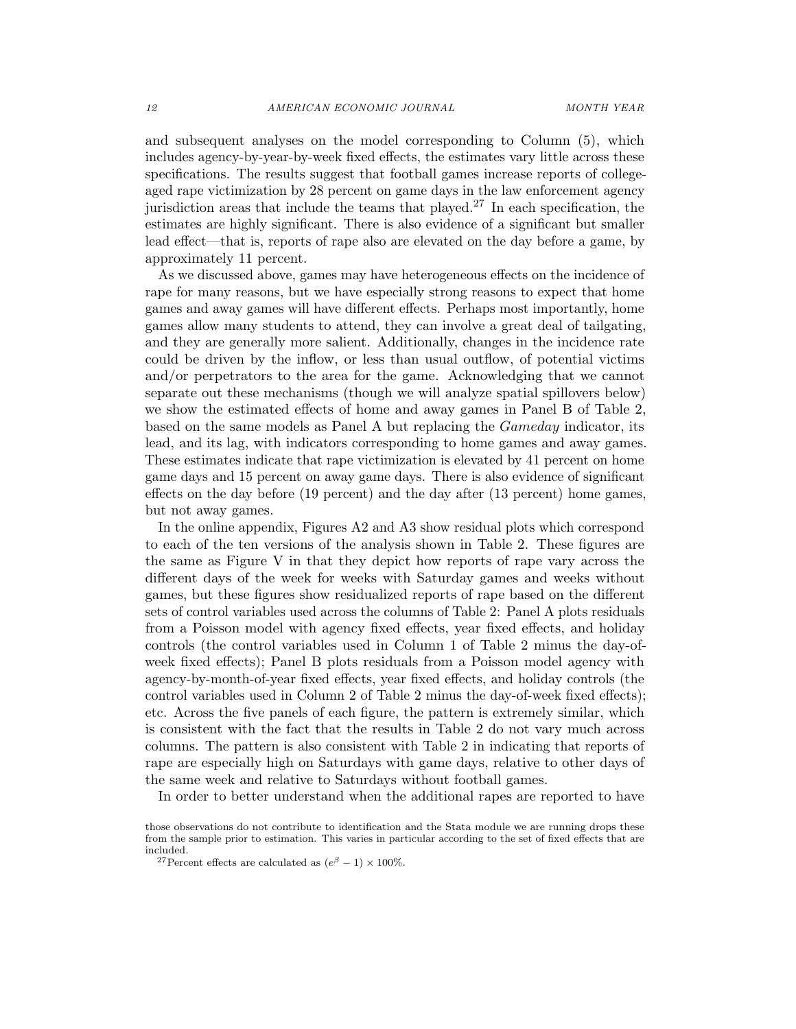and subsequent analyses on the model corresponding to Column (5), which includes agency-by-year-by-week fixed effects, the estimates vary little across these specifications. The results suggest that football games increase reports of collegeaged rape victimization by 28 percent on game days in the law enforcement agency jurisdiction areas that include the teams that played.<sup>27</sup> In each specification, the estimates are highly significant. There is also evidence of a significant but smaller lead effect—that is, reports of rape also are elevated on the day before a game, by approximately 11 percent.

As we discussed above, games may have heterogeneous effects on the incidence of rape for many reasons, but we have especially strong reasons to expect that home games and away games will have different effects. Perhaps most importantly, home games allow many students to attend, they can involve a great deal of tailgating, and they are generally more salient. Additionally, changes in the incidence rate could be driven by the inflow, or less than usual outflow, of potential victims and/or perpetrators to the area for the game. Acknowledging that we cannot separate out these mechanisms (though we will analyze spatial spillovers below) we show the estimated effects of home and away games in Panel B of Table [2,](#page-29-0) based on the same models as Panel A but replacing the Gameday indicator, its lead, and its lag, with indicators corresponding to home games and away games. These estimates indicate that rape victimization is elevated by 41 percent on home game days and 15 percent on away game days. There is also evidence of significant effects on the day before (19 percent) and the day after (13 percent) home games, but not away games.

In the online appendix, Figures A2 and A3 show residual plots which correspond to each of the ten versions of the analysis shown in Table [2.](#page-29-0) These figures are the same as Figure [V](#page-23-0) in that they depict how reports of rape vary across the different days of the week for weeks with Saturday games and weeks without games, but these figures show residualized reports of rape based on the different sets of control variables used across the columns of Table [2:](#page-29-0) Panel A plots residuals from a Poisson model with agency fixed effects, year fixed effects, and holiday controls (the control variables used in Column 1 of Table [2](#page-29-0) minus the day-ofweek fixed effects); Panel B plots residuals from a Poisson model agency with agency-by-month-of-year fixed effects, year fixed effects, and holiday controls (the control variables used in Column 2 of Table [2](#page-29-0) minus the day-of-week fixed effects); etc. Across the five panels of each figure, the pattern is extremely similar, which is consistent with the fact that the results in Table [2](#page-29-0) do not vary much across columns. The pattern is also consistent with Table [2](#page-29-0) in indicating that reports of rape are especially high on Saturdays with game days, relative to other days of the same week and relative to Saturdays without football games.

In order to better understand when the additional rapes are reported to have

those observations do not contribute to identification and the Stata module we are running drops these from the sample prior to estimation. This varies in particular according to the set of fixed effects that are included.

<sup>&</sup>lt;sup>27</sup>Percent effects are calculated as  $(e^{\beta} - 1) \times 100\%$ .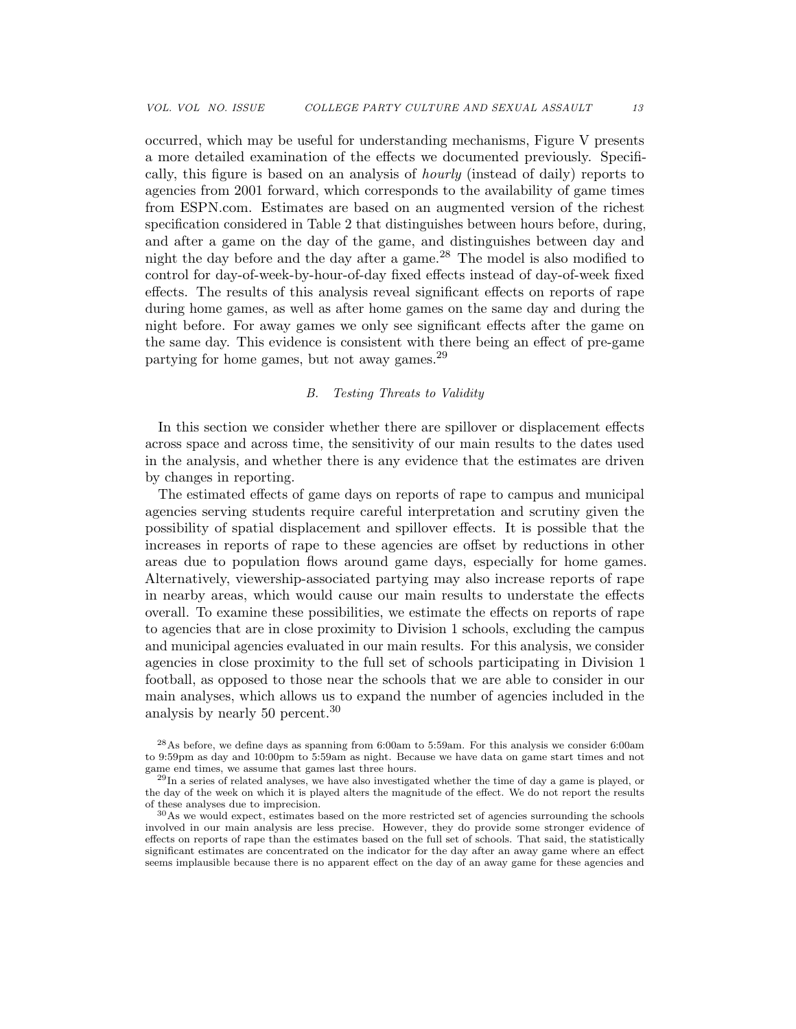occurred, which may be useful for understanding mechanisms, Figure [V](#page-26-0) presents a more detailed examination of the effects we documented previously. Specifically, this figure is based on an analysis of hourly (instead of daily) reports to agencies from 2001 forward, which corresponds to the availability of game times from ESPN.com. Estimates are based on an augmented version of the richest specification considered in Table [2](#page-29-0) that distinguishes between hours before, during, and after a game on the day of the game, and distinguishes between day and night the day before and the day after a game.<sup>28</sup> The model is also modified to control for day-of-week-by-hour-of-day fixed effects instead of day-of-week fixed effects. The results of this analysis reveal significant effects on reports of rape during home games, as well as after home games on the same day and during the night before. For away games we only see significant effects after the game on the same day. This evidence is consistent with there being an effect of pre-game partying for home games, but not away games.<sup>29</sup>

# B. Testing Threats to Validity

In this section we consider whether there are spillover or displacement effects across space and across time, the sensitivity of our main results to the dates used in the analysis, and whether there is any evidence that the estimates are driven by changes in reporting.

The estimated effects of game days on reports of rape to campus and municipal agencies serving students require careful interpretation and scrutiny given the possibility of spatial displacement and spillover effects. It is possible that the increases in reports of rape to these agencies are offset by reductions in other areas due to population flows around game days, especially for home games. Alternatively, viewership-associated partying may also increase reports of rape in nearby areas, which would cause our main results to understate the effects overall. To examine these possibilities, we estimate the effects on reports of rape to agencies that are in close proximity to Division 1 schools, excluding the campus and municipal agencies evaluated in our main results. For this analysis, we consider agencies in close proximity to the full set of schools participating in Division 1 football, as opposed to those near the schools that we are able to consider in our main analyses, which allows us to expand the number of agencies included in the analysis by nearly 50 percent.<sup>30</sup>

<sup>28</sup>As before, we define days as spanning from 6:00am to 5:59am. For this analysis we consider 6:00am to 9:59pm as day and 10:00pm to 5:59am as night. Because we have data on game start times and not game end times, we assume that games last three hours.

<sup>29</sup>In a series of related analyses, we have also investigated whether the time of day a game is played, or the day of the week on which it is played alters the magnitude of the effect. We do not report the results of these analyses due to imprecision.

 $30\,\text{As}$  we would expect, estimates based on the more restricted set of agencies surrounding the schools involved in our main analysis are less precise. However, they do provide some stronger evidence of effects on reports of rape than the estimates based on the full set of schools. That said, the statistically significant estimates are concentrated on the indicator for the day after an away game where an effect seems implausible because there is no apparent effect on the day of an away game for these agencies and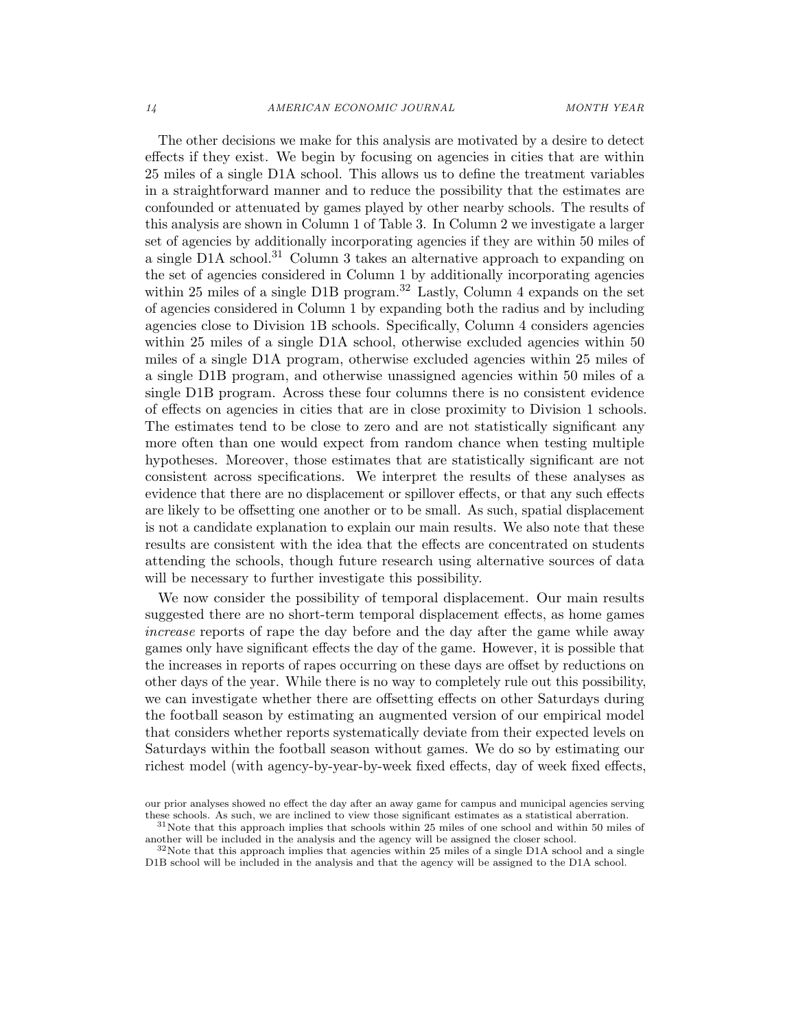The other decisions we make for this analysis are motivated by a desire to detect effects if they exist. We begin by focusing on agencies in cities that are within 25 miles of a single D1A school. This allows us to define the treatment variables in a straightforward manner and to reduce the possibility that the estimates are confounded or attenuated by games played by other nearby schools. The results of this analysis are shown in Column 1 of Table [3.](#page-30-0) In Column 2 we investigate a larger set of agencies by additionally incorporating agencies if they are within 50 miles of a single D1A school.<sup>31</sup> Column 3 takes an alternative approach to expanding on the set of agencies considered in Column 1 by additionally incorporating agencies within 25 miles of a single D1B program.<sup>32</sup> Lastly, Column 4 expands on the set of agencies considered in Column 1 by expanding both the radius and by including agencies close to Division 1B schools. Specifically, Column 4 considers agencies within 25 miles of a single D1A school, otherwise excluded agencies within 50 miles of a single D1A program, otherwise excluded agencies within 25 miles of a single D1B program, and otherwise unassigned agencies within 50 miles of a single D1B program. Across these four columns there is no consistent evidence of effects on agencies in cities that are in close proximity to Division 1 schools. The estimates tend to be close to zero and are not statistically significant any more often than one would expect from random chance when testing multiple hypotheses. Moreover, those estimates that are statistically significant are not consistent across specifications. We interpret the results of these analyses as evidence that there are no displacement or spillover effects, or that any such effects are likely to be offsetting one another or to be small. As such, spatial displacement is not a candidate explanation to explain our main results. We also note that these results are consistent with the idea that the effects are concentrated on students attending the schools, though future research using alternative sources of data will be necessary to further investigate this possibility.

We now consider the possibility of temporal displacement. Our main results suggested there are no short-term temporal displacement effects, as home games increase reports of rape the day before and the day after the game while away games only have significant effects the day of the game. However, it is possible that the increases in reports of rapes occurring on these days are offset by reductions on other days of the year. While there is no way to completely rule out this possibility, we can investigate whether there are offsetting effects on other Saturdays during the football season by estimating an augmented version of our empirical model that considers whether reports systematically deviate from their expected levels on Saturdays within the football season without games. We do so by estimating our richest model (with agency-by-year-by-week fixed effects, day of week fixed effects,

our prior analyses showed no effect the day after an away game for campus and municipal agencies serving these schools. As such, we are inclined to view those significant estimates as a statistical aberration.

<sup>31</sup>Note that this approach implies that schools within 25 miles of one school and within 50 miles of another will be included in the analysis and the agency will be assigned the closer school.

 $32\text{Note that this approach implies that agencies within 25 miles of a single D1A school and a single$ D1B school will be included in the analysis and that the agency will be assigned to the D1A school.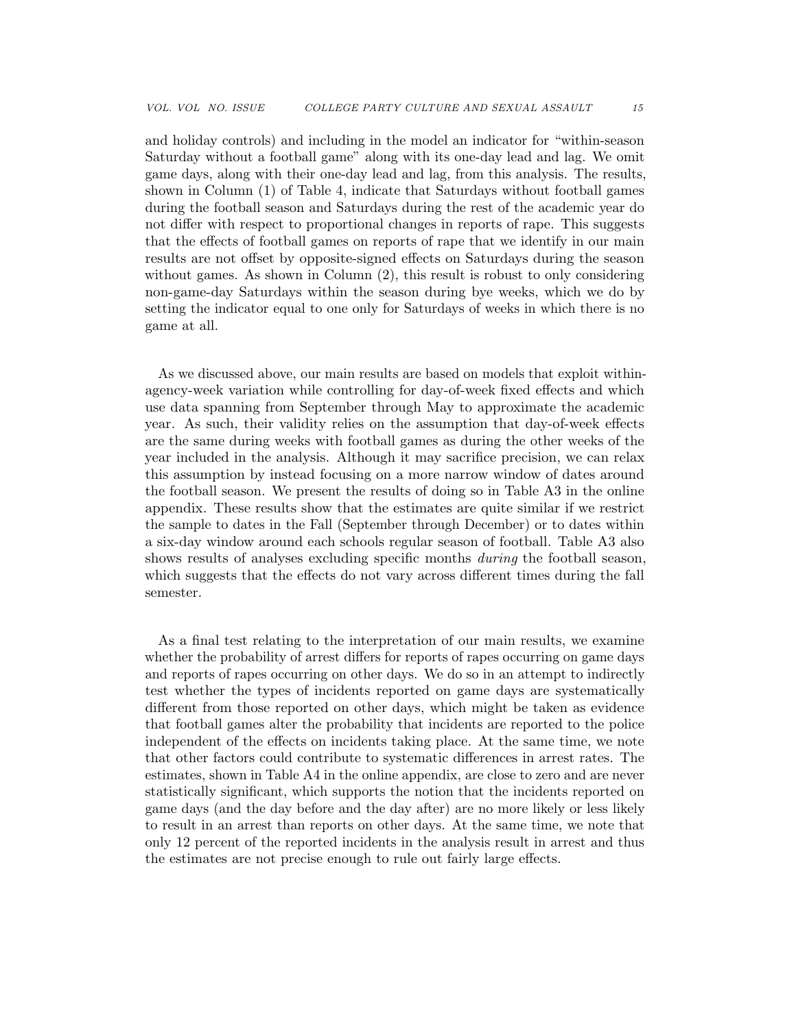and holiday controls) and including in the model an indicator for "within-season Saturday without a football game" along with its one-day lead and lag. We omit game days, along with their one-day lead and lag, from this analysis. The results, shown in Column (1) of Table [4,](#page-31-0) indicate that Saturdays without football games during the football season and Saturdays during the rest of the academic year do not differ with respect to proportional changes in reports of rape. This suggests that the effects of football games on reports of rape that we identify in our main results are not offset by opposite-signed effects on Saturdays during the season without games. As shown in Column (2), this result is robust to only considering non-game-day Saturdays within the season during bye weeks, which we do by setting the indicator equal to one only for Saturdays of weeks in which there is no game at all.

As we discussed above, our main results are based on models that exploit withinagency-week variation while controlling for day-of-week fixed effects and which use data spanning from September through May to approximate the academic year. As such, their validity relies on the assumption that day-of-week effects are the same during weeks with football games as during the other weeks of the year included in the analysis. Although it may sacrifice precision, we can relax this assumption by instead focusing on a more narrow window of dates around the football season. We present the results of doing so in Table A3 in the online appendix. These results show that the estimates are quite similar if we restrict the sample to dates in the Fall (September through December) or to dates within a six-day window around each schools regular season of football. Table A3 also shows results of analyses excluding specific months during the football season, which suggests that the effects do not vary across different times during the fall semester.

As a final test relating to the interpretation of our main results, we examine whether the probability of arrest differs for reports of rapes occurring on game days and reports of rapes occurring on other days. We do so in an attempt to indirectly test whether the types of incidents reported on game days are systematically different from those reported on other days, which might be taken as evidence that football games alter the probability that incidents are reported to the police independent of the effects on incidents taking place. At the same time, we note that other factors could contribute to systematic differences in arrest rates. The estimates, shown in Table A4 in the online appendix, are close to zero and are never statistically significant, which supports the notion that the incidents reported on game days (and the day before and the day after) are no more likely or less likely to result in an arrest than reports on other days. At the same time, we note that only 12 percent of the reported incidents in the analysis result in arrest and thus the estimates are not precise enough to rule out fairly large effects.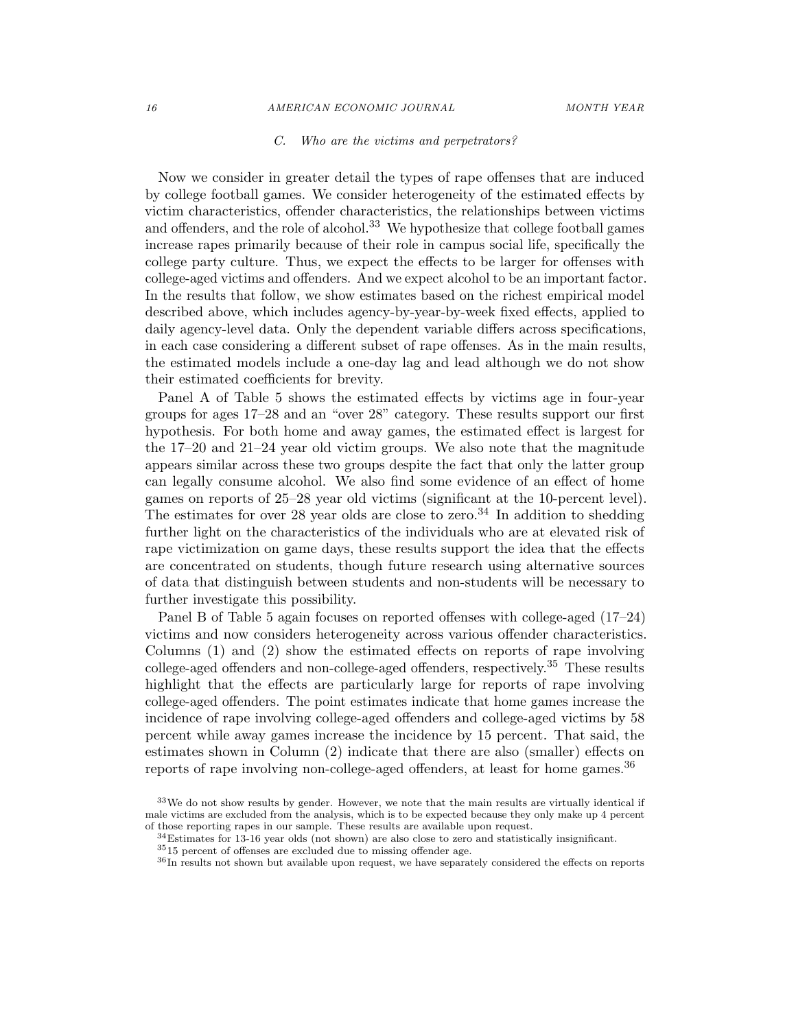#### 16 AMERICAN ECONOMIC JOURNAL MONTH YEAR

### C. Who are the victims and perpetrators?

Now we consider in greater detail the types of rape offenses that are induced by college football games. We consider heterogeneity of the estimated effects by victim characteristics, offender characteristics, the relationships between victims and offenders, and the role of alcohol.<sup>33</sup> We hypothesize that college football games increase rapes primarily because of their role in campus social life, specifically the college party culture. Thus, we expect the effects to be larger for offenses with college-aged victims and offenders. And we expect alcohol to be an important factor. In the results that follow, we show estimates based on the richest empirical model described above, which includes agency-by-year-by-week fixed effects, applied to daily agency-level data. Only the dependent variable differs across specifications, in each case considering a different subset of rape offenses. As in the main results, the estimated models include a one-day lag and lead although we do not show their estimated coefficients for brevity.

Panel A of Table [5](#page-32-0) shows the estimated effects by victims age in four-year groups for ages 17–28 and an "over 28" category. These results support our first hypothesis. For both home and away games, the estimated effect is largest for the 17–20 and 21–24 year old victim groups. We also note that the magnitude appears similar across these two groups despite the fact that only the latter group can legally consume alcohol. We also find some evidence of an effect of home games on reports of 25–28 year old victims (significant at the 10-percent level). The estimates for over 28 year olds are close to zero.<sup>34</sup> In addition to shedding further light on the characteristics of the individuals who are at elevated risk of rape victimization on game days, these results support the idea that the effects are concentrated on students, though future research using alternative sources of data that distinguish between students and non-students will be necessary to further investigate this possibility.

Panel B of Table [5](#page-32-0) again focuses on reported offenses with college-aged (17–24) victims and now considers heterogeneity across various offender characteristics. Columns (1) and (2) show the estimated effects on reports of rape involving college-aged offenders and non-college-aged offenders, respectively.<sup>35</sup> These results highlight that the effects are particularly large for reports of rape involving college-aged offenders. The point estimates indicate that home games increase the incidence of rape involving college-aged offenders and college-aged victims by 58 percent while away games increase the incidence by 15 percent. That said, the estimates shown in Column (2) indicate that there are also (smaller) effects on reports of rape involving non-college-aged offenders, at least for home games.<sup>36</sup>

 $33$ We do not show results by gender. However, we note that the main results are virtually identical if male victims are excluded from the analysis, which is to be expected because they only make up 4 percent of those reporting rapes in our sample. These results are available upon request.

<sup>34</sup>Estimates for 13-16 year olds (not shown) are also close to zero and statistically insignificant.

<sup>35</sup>15 percent of offenses are excluded due to missing offender age.

<sup>36</sup>In results not shown but available upon request, we have separately considered the effects on reports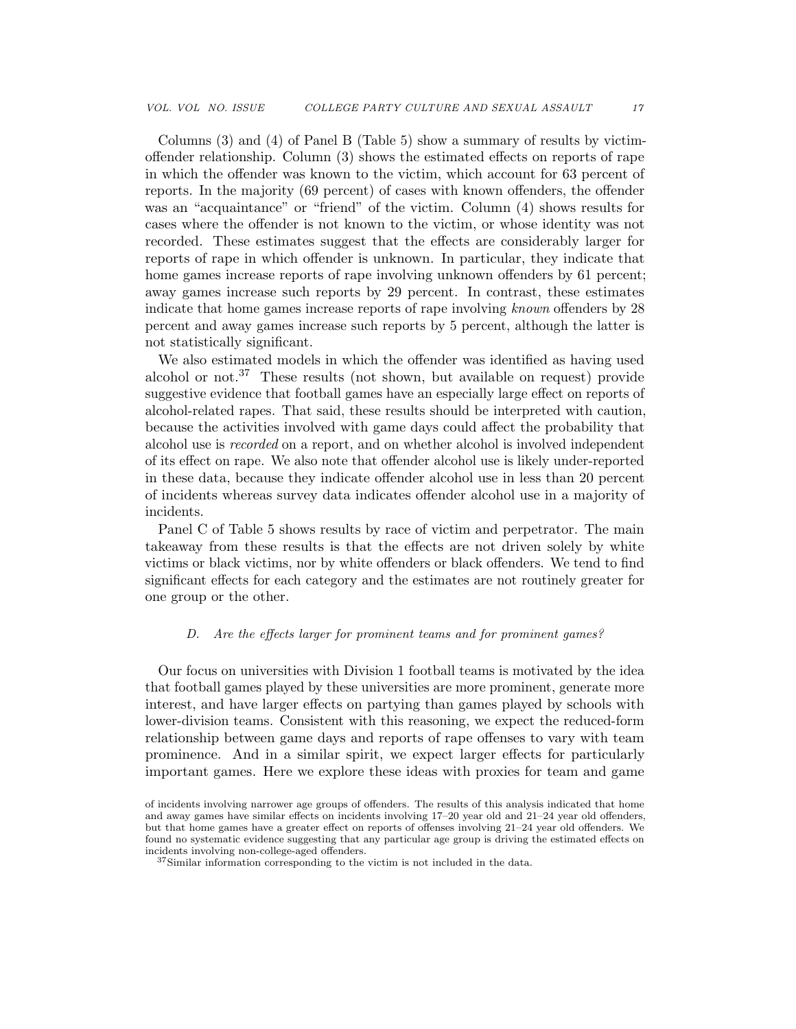Columns (3) and (4) of Panel B (Table [5\)](#page-32-0) show a summary of results by victimoffender relationship. Column (3) shows the estimated effects on reports of rape in which the offender was known to the victim, which account for 63 percent of reports. In the majority (69 percent) of cases with known offenders, the offender was an "acquaintance" or "friend" of the victim. Column (4) shows results for cases where the offender is not known to the victim, or whose identity was not recorded. These estimates suggest that the effects are considerably larger for reports of rape in which offender is unknown. In particular, they indicate that home games increase reports of rape involving unknown offenders by 61 percent; away games increase such reports by 29 percent. In contrast, these estimates indicate that home games increase reports of rape involving known offenders by 28 percent and away games increase such reports by 5 percent, although the latter is not statistically significant.

We also estimated models in which the offender was identified as having used alcohol or not.<sup>37</sup> These results (not shown, but available on request) provide suggestive evidence that football games have an especially large effect on reports of alcohol-related rapes. That said, these results should be interpreted with caution, because the activities involved with game days could affect the probability that alcohol use is recorded on a report, and on whether alcohol is involved independent of its effect on rape. We also note that offender alcohol use is likely under-reported in these data, because they indicate offender alcohol use in less than 20 percent of incidents whereas survey data indicates offender alcohol use in a majority of incidents.

Panel C of Table [5](#page-32-0) shows results by race of victim and perpetrator. The main takeaway from these results is that the effects are not driven solely by white victims or black victims, nor by white offenders or black offenders. We tend to find significant effects for each category and the estimates are not routinely greater for one group or the other.

# D. Are the effects larger for prominent teams and for prominent games?

Our focus on universities with Division 1 football teams is motivated by the idea that football games played by these universities are more prominent, generate more interest, and have larger effects on partying than games played by schools with lower-division teams. Consistent with this reasoning, we expect the reduced-form relationship between game days and reports of rape offenses to vary with team prominence. And in a similar spirit, we expect larger effects for particularly important games. Here we explore these ideas with proxies for team and game

of incidents involving narrower age groups of offenders. The results of this analysis indicated that home and away games have similar effects on incidents involving 17–20 year old and 21–24 year old offenders, but that home games have a greater effect on reports of offenses involving 21–24 year old offenders. We found no systematic evidence suggesting that any particular age group is driving the estimated effects on incidents involving non-college-aged offenders.

<sup>37</sup>Similar information corresponding to the victim is not included in the data.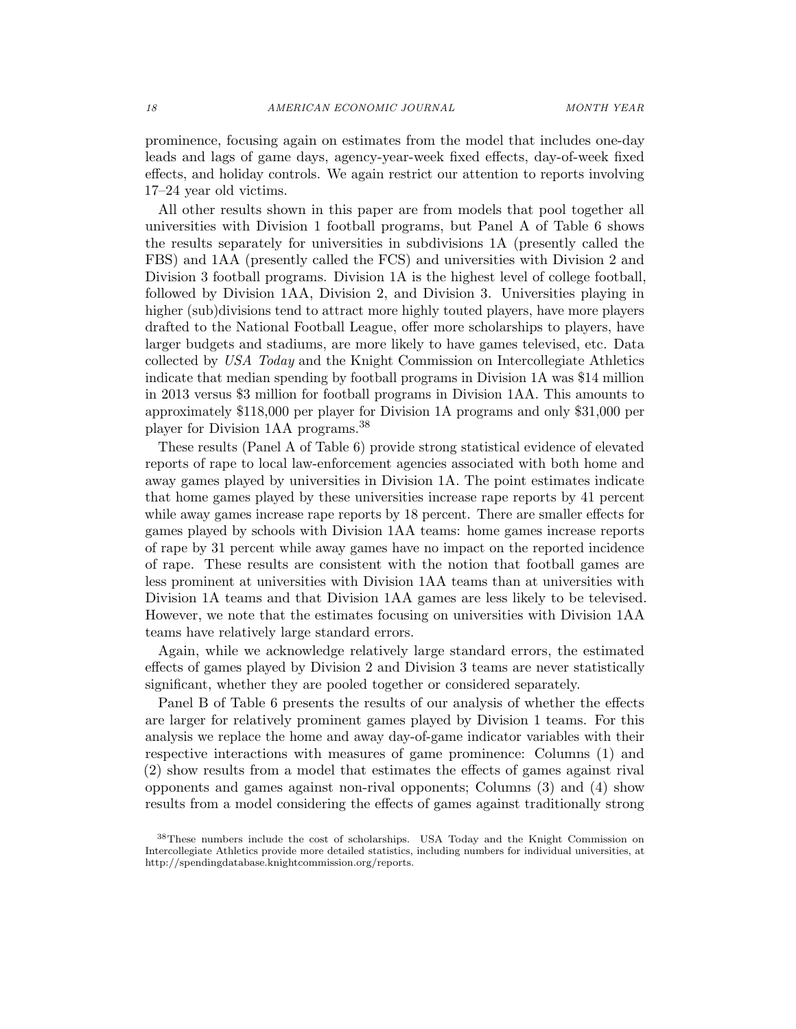prominence, focusing again on estimates from the model that includes one-day leads and lags of game days, agency-year-week fixed effects, day-of-week fixed effects, and holiday controls. We again restrict our attention to reports involving 17–24 year old victims.

All other results shown in this paper are from models that pool together all universities with Division 1 football programs, but Panel A of Table [6](#page-33-0) shows the results separately for universities in subdivisions 1A (presently called the FBS) and 1AA (presently called the FCS) and universities with Division 2 and Division 3 football programs. Division 1A is the highest level of college football, followed by Division 1AA, Division 2, and Division 3. Universities playing in higher (sub)divisions tend to attract more highly touted players, have more players drafted to the National Football League, offer more scholarships to players, have larger budgets and stadiums, are more likely to have games televised, etc. Data collected by USA Today and the Knight Commission on Intercollegiate Athletics indicate that median spending by football programs in Division 1A was \$14 million in 2013 versus \$3 million for football programs in Division 1AA. This amounts to approximately \$118,000 per player for Division 1A programs and only \$31,000 per player for Division 1AA programs.<sup>38</sup>

These results (Panel A of Table [6\)](#page-33-0) provide strong statistical evidence of elevated reports of rape to local law-enforcement agencies associated with both home and away games played by universities in Division 1A. The point estimates indicate that home games played by these universities increase rape reports by 41 percent while away games increase rape reports by 18 percent. There are smaller effects for games played by schools with Division 1AA teams: home games increase reports of rape by 31 percent while away games have no impact on the reported incidence of rape. These results are consistent with the notion that football games are less prominent at universities with Division 1AA teams than at universities with Division 1A teams and that Division 1AA games are less likely to be televised. However, we note that the estimates focusing on universities with Division 1AA teams have relatively large standard errors.

Again, while we acknowledge relatively large standard errors, the estimated effects of games played by Division 2 and Division 3 teams are never statistically significant, whether they are pooled together or considered separately.

Panel B of Table [6](#page-33-0) presents the results of our analysis of whether the effects are larger for relatively prominent games played by Division 1 teams. For this analysis we replace the home and away day-of-game indicator variables with their respective interactions with measures of game prominence: Columns (1) and (2) show results from a model that estimates the effects of games against rival opponents and games against non-rival opponents; Columns (3) and (4) show results from a model considering the effects of games against traditionally strong

<sup>38</sup>These numbers include the cost of scholarships. USA Today and the Knight Commission on Intercollegiate Athletics provide more detailed statistics, including numbers for individual universities, at http://spendingdatabase.knightcommission.org/reports.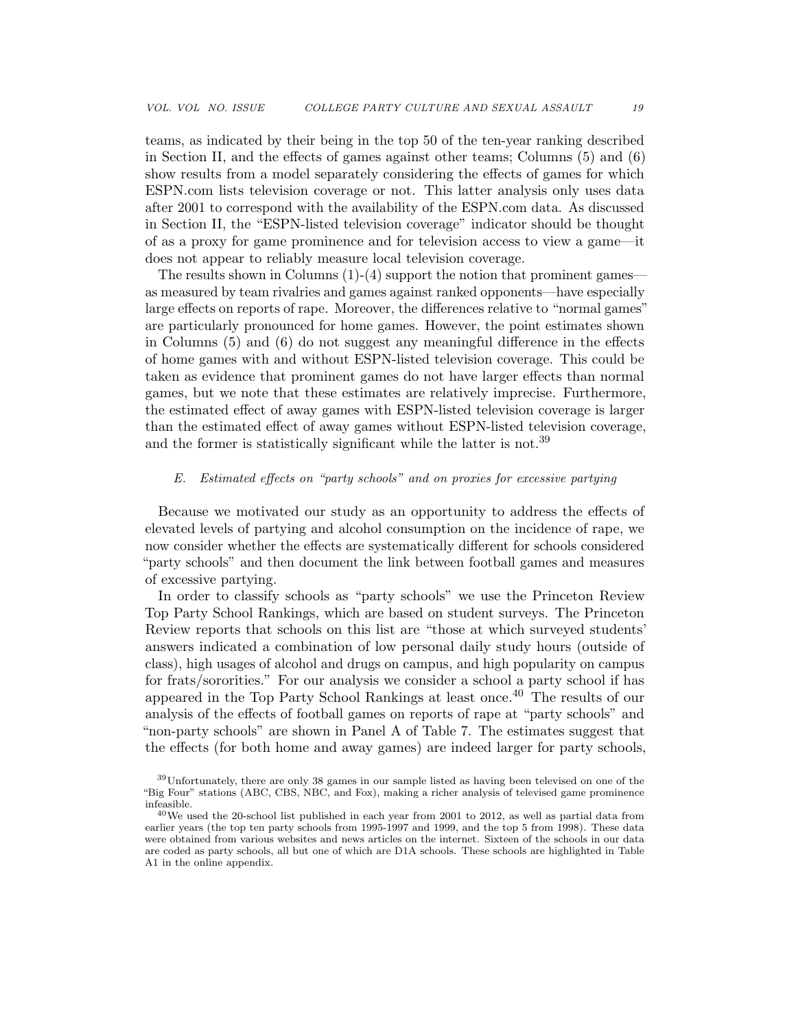teams, as indicated by their being in the top 50 of the ten-year ranking described in Section [II,](#page-4-0) and the effects of games against other teams; Columns (5) and (6) show results from a model separately considering the effects of games for which ESPN.com lists television coverage or not. This latter analysis only uses data after 2001 to correspond with the availability of the ESPN.com data. As discussed in Section [II,](#page-4-0) the "ESPN-listed television coverage" indicator should be thought of as a proxy for game prominence and for television access to view a game—it does not appear to reliably measure local television coverage.

The results shown in Columns  $(1)-(4)$  support the notion that prominent games as measured by team rivalries and games against ranked opponents—have especially large effects on reports of rape. Moreover, the differences relative to "normal games" are particularly pronounced for home games. However, the point estimates shown in Columns (5) and (6) do not suggest any meaningful difference in the effects of home games with and without ESPN-listed television coverage. This could be taken as evidence that prominent games do not have larger effects than normal games, but we note that these estimates are relatively imprecise. Furthermore, the estimated effect of away games with ESPN-listed television coverage is larger than the estimated effect of away games without ESPN-listed television coverage, and the former is statistically significant while the latter is not.<sup>39</sup>

# E. Estimated effects on "party schools" and on proxies for excessive partying

Because we motivated our study as an opportunity to address the effects of elevated levels of partying and alcohol consumption on the incidence of rape, we now consider whether the effects are systematically different for schools considered "party schools" and then document the link between football games and measures of excessive partying.

In order to classify schools as "party schools" we use the Princeton Review Top Party School Rankings, which are based on student surveys. The Princeton Review reports that schools on this list are "those at which surveyed students' answers indicated a combination of low personal daily study hours (outside of class), high usages of alcohol and drugs on campus, and high popularity on campus for frats/sororities." For our analysis we consider a school a party school if has appeared in the Top Party School Rankings at least once.<sup>40</sup> The results of our analysis of the effects of football games on reports of rape at "party schools" and "non-party schools" are shown in Panel A of Table [7.](#page-34-0) The estimates suggest that the effects (for both home and away games) are indeed larger for party schools,

<sup>39</sup>Unfortunately, there are only 38 games in our sample listed as having been televised on one of the "Big Four" stations (ABC, CBS, NBC, and Fox), making a richer analysis of televised game prominence infeasible.

 $^{40}$ We used the 20-school list published in each year from 2001 to 2012, as well as partial data from earlier years (the top ten party schools from 1995-1997 and 1999, and the top 5 from 1998). These data were obtained from various websites and news articles on the internet. Sixteen of the schools in our data are coded as party schools, all but one of which are D1A schools. These schools are highlighted in Table A1 in the online appendix.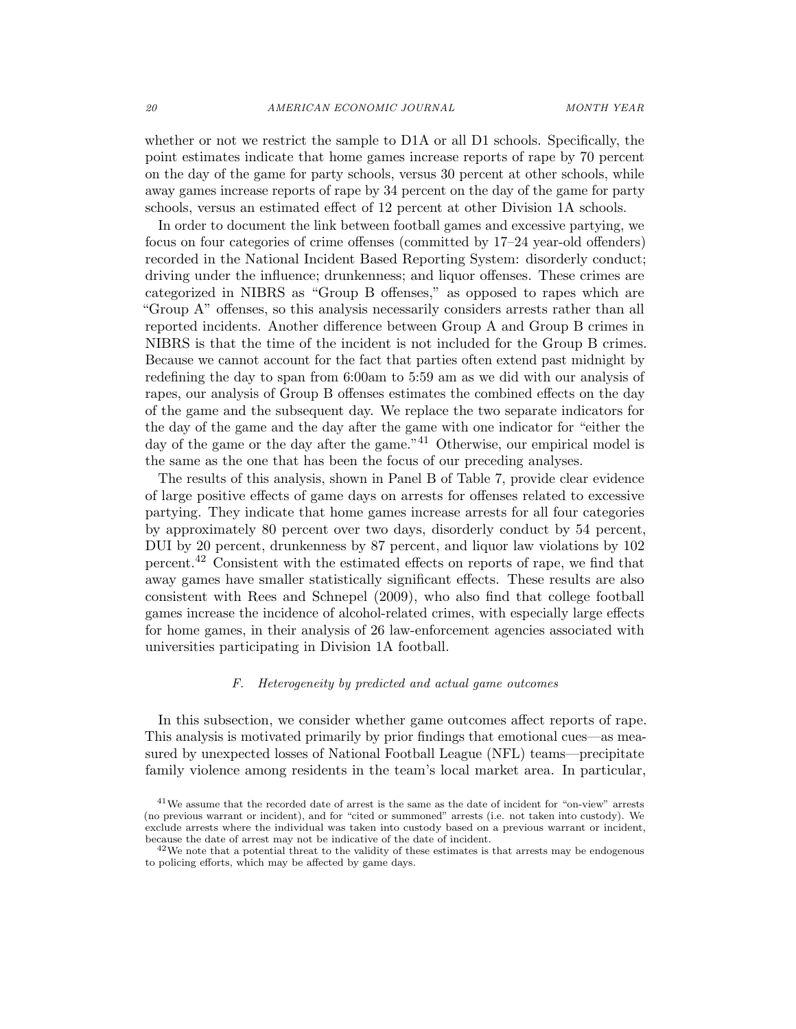whether or not we restrict the sample to D1A or all D1 schools. Specifically, the point estimates indicate that home games increase reports of rape by 70 percent on the day of the game for party schools, versus 30 percent at other schools, while away games increase reports of rape by 34 percent on the day of the game for party schools, versus an estimated effect of 12 percent at other Division 1A schools.

In order to document the link between football games and excessive partying, we focus on four categories of crime offenses (committed by 17–24 year-old offenders) recorded in the National Incident Based Reporting System: disorderly conduct; driving under the influence; drunkenness; and liquor offenses. These crimes are categorized in NIBRS as "Group B offenses," as opposed to rapes which are "Group A" offenses, so this analysis necessarily considers arrests rather than all reported incidents. Another difference between Group A and Group B crimes in NIBRS is that the time of the incident is not included for the Group B crimes. Because we cannot account for the fact that parties often extend past midnight by redefining the day to span from 6:00am to 5:59 am as we did with our analysis of rapes, our analysis of Group B offenses estimates the combined effects on the day of the game and the subsequent day. We replace the two separate indicators for the day of the game and the day after the game with one indicator for "either the day of the game or the day after the game."<sup>41</sup> Otherwise, our empirical model is the same as the one that has been the focus of our preceding analyses.

The results of this analysis, shown in Panel B of Table [7,](#page-34-0) provide clear evidence of large positive effects of game days on arrests for offenses related to excessive partying. They indicate that home games increase arrests for all four categories by approximately 80 percent over two days, disorderly conduct by 54 percent, DUI by 20 percent, drunkenness by 87 percent, and liquor law violations by 102 percent.<sup>42</sup> Consistent with the estimated effects on reports of rape, we find that away games have smaller statistically significant effects. These results are also consistent with Rees and Schnepel (2009), who also find that college football games increase the incidence of alcohol-related crimes, with especially large effects for home games, in their analysis of 26 law-enforcement agencies associated with universities participating in Division 1A football.

### F. Heterogeneity by predicted and actual game outcomes

In this subsection, we consider whether game outcomes affect reports of rape. This analysis is motivated primarily by prior findings that emotional cues—as measured by unexpected losses of National Football League (NFL) teams—precipitate family violence among residents in the team's local market area. In particular,

<sup>41</sup>We assume that the recorded date of arrest is the same as the date of incident for "on-view" arrests (no previous warrant or incident), and for "cited or summoned" arrests (i.e. not taken into custody). We exclude arrests where the individual was taken into custody based on a previous warrant or incident, because the date of arrest may not be indicative of the date of incident.

 $42$ We note that a potential threat to the validity of these estimates is that arrests may be endogenous to policing efforts, which may be affected by game days.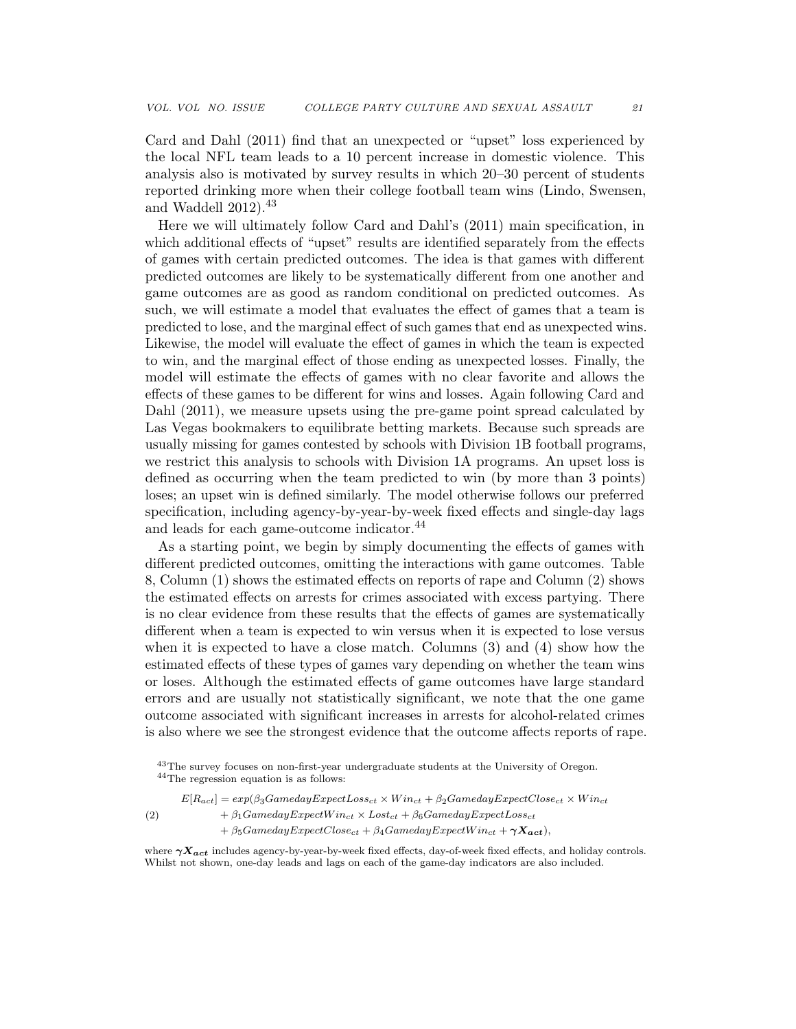Card and Dahl (2011) find that an unexpected or "upset" loss experienced by the local NFL team leads to a 10 percent increase in domestic violence. This analysis also is motivated by survey results in which 20–30 percent of students reported drinking more when their college football team wins (Lindo, Swensen, and Waddell  $2012$ ).<sup>43</sup>

Here we will ultimately follow Card and Dahl's (2011) main specification, in which additional effects of "upset" results are identified separately from the effects of games with certain predicted outcomes. The idea is that games with different predicted outcomes are likely to be systematically different from one another and game outcomes are as good as random conditional on predicted outcomes. As such, we will estimate a model that evaluates the effect of games that a team is predicted to lose, and the marginal effect of such games that end as unexpected wins. Likewise, the model will evaluate the effect of games in which the team is expected to win, and the marginal effect of those ending as unexpected losses. Finally, the model will estimate the effects of games with no clear favorite and allows the effects of these games to be different for wins and losses. Again following Card and Dahl (2011), we measure upsets using the pre-game point spread calculated by Las Vegas bookmakers to equilibrate betting markets. Because such spreads are usually missing for games contested by schools with Division 1B football programs, we restrict this analysis to schools with Division 1A programs. An upset loss is defined as occurring when the team predicted to win (by more than 3 points) loses; an upset win is defined similarly. The model otherwise follows our preferred specification, including agency-by-year-by-week fixed effects and single-day lags and leads for each game-outcome indicator.<sup>44</sup>

As a starting point, we begin by simply documenting the effects of games with different predicted outcomes, omitting the interactions with game outcomes. Table [8,](#page-35-0) Column (1) shows the estimated effects on reports of rape and Column (2) shows the estimated effects on arrests for crimes associated with excess partying. There is no clear evidence from these results that the effects of games are systematically different when a team is expected to win versus when it is expected to lose versus when it is expected to have a close match. Columns (3) and (4) show how the estimated effects of these types of games vary depending on whether the team wins or loses. Although the estimated effects of game outcomes have large standard errors and are usually not statistically significant, we note that the one game outcome associated with significant increases in arrests for alcohol-related crimes is also where we see the strongest evidence that the outcome affects reports of rape.

<sup>43</sup>The survey focuses on non-first-year undergraduate students at the University of Oregon. <sup>44</sup>The regression equation is as follows:

 $E[R_{act}] = exp(\beta_3GamedayExpectedS_{ct} \times Win_{ct} + \beta_2GamedayExpectedS_{ct} \times Win_{ct}$  $+ \beta_1 GamedayExpectedWin_{ct} \times Lost_{ct} + \beta_6 GamedayExpectedLoss_{ct}$ +  $\beta_5$ GamedayExpectClose<sub>ct</sub> +  $\beta_4$ GamedayExpectWin<sub>ct</sub> +  $\gamma X_{act}$ ), (2)

where  $\gamma X_{act}$  includes agency-by-year-by-week fixed effects, day-of-week fixed effects, and holiday controls. Whilst not shown, one-day leads and lags on each of the game-day indicators are also included.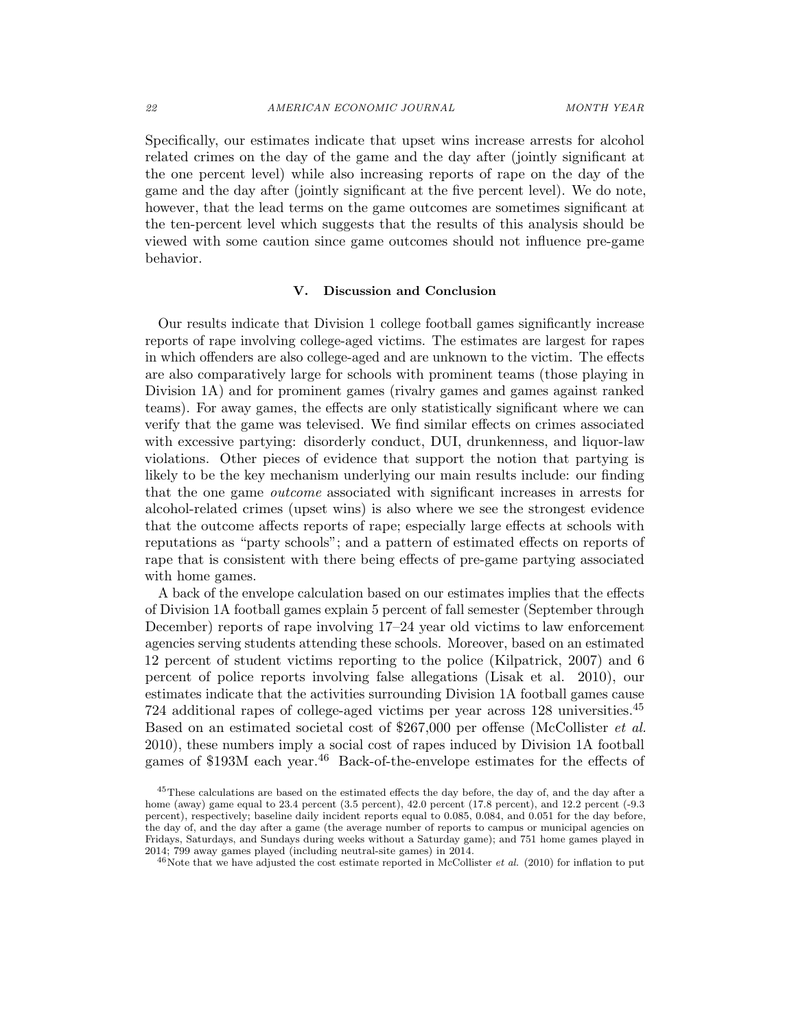Specifically, our estimates indicate that upset wins increase arrests for alcohol related crimes on the day of the game and the day after (jointly significant at the one percent level) while also increasing reports of rape on the day of the game and the day after (jointly significant at the five percent level). We do note, however, that the lead terms on the game outcomes are sometimes significant at the ten-percent level which suggests that the results of this analysis should be viewed with some caution since game outcomes should not influence pre-game behavior.

### V. Discussion and Conclusion

Our results indicate that Division 1 college football games significantly increase reports of rape involving college-aged victims. The estimates are largest for rapes in which offenders are also college-aged and are unknown to the victim. The effects are also comparatively large for schools with prominent teams (those playing in Division 1A) and for prominent games (rivalry games and games against ranked teams). For away games, the effects are only statistically significant where we can verify that the game was televised. We find similar effects on crimes associated with excessive partying: disorderly conduct, DUI, drunkenness, and liquor-law violations. Other pieces of evidence that support the notion that partying is likely to be the key mechanism underlying our main results include: our finding that the one game outcome associated with significant increases in arrests for alcohol-related crimes (upset wins) is also where we see the strongest evidence that the outcome affects reports of rape; especially large effects at schools with reputations as "party schools"; and a pattern of estimated effects on reports of rape that is consistent with there being effects of pre-game partying associated with home games.

A back of the envelope calculation based on our estimates implies that the effects of Division 1A football games explain 5 percent of fall semester (September through December) reports of rape involving 17–24 year old victims to law enforcement agencies serving students attending these schools. Moreover, based on an estimated 12 percent of student victims reporting to the police (Kilpatrick, 2007) and 6 percent of police reports involving false allegations (Lisak et al. 2010), our estimates indicate that the activities surrounding Division 1A football games cause 724 additional rapes of college-aged victims per year across 128 universities.<sup>45</sup> Based on an estimated societal cost of \$267,000 per offense (McCollister et al. 2010), these numbers imply a social cost of rapes induced by Division 1A football games of \$193M each year.<sup>46</sup> Back-of-the-envelope estimates for the effects of

<sup>45</sup>These calculations are based on the estimated effects the day before, the day of, and the day after a home (away) game equal to 23.4 percent (3.5 percent), 42.0 percent (17.8 percent), and 12.2 percent (-9.3 percent), respectively; baseline daily incident reports equal to 0.085, 0.084, and 0.051 for the day before, the day of, and the day after a game (the average number of reports to campus or municipal agencies on Fridays, Saturdays, and Sundays during weeks without a Saturday game); and 751 home games played in 2014; 799 away games played (including neutral-site games) in 2014.

 $46$ Note that we have adjusted the cost estimate reported in McCollister *et al.* (2010) for inflation to put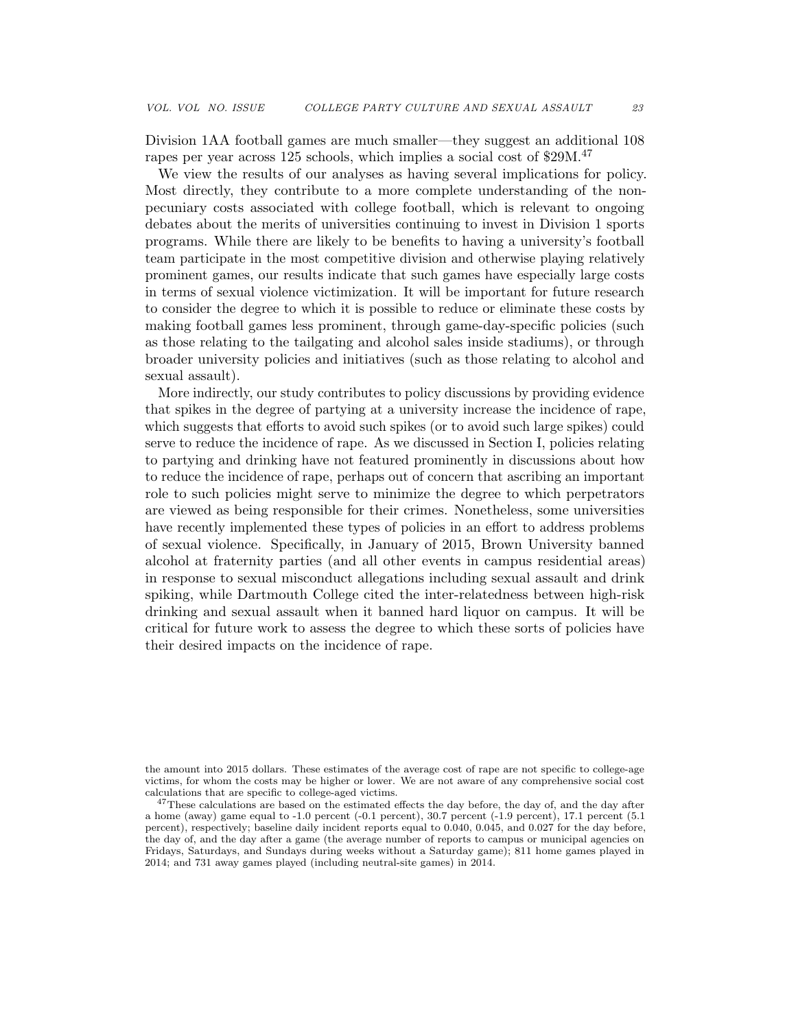Division 1AA football games are much smaller—they suggest an additional 108 rapes per year across 125 schools, which implies a social cost of \$29M.<sup>47</sup>

We view the results of our analyses as having several implications for policy. Most directly, they contribute to a more complete understanding of the nonpecuniary costs associated with college football, which is relevant to ongoing debates about the merits of universities continuing to invest in Division 1 sports programs. While there are likely to be benefits to having a university's football team participate in the most competitive division and otherwise playing relatively prominent games, our results indicate that such games have especially large costs in terms of sexual violence victimization. It will be important for future research to consider the degree to which it is possible to reduce or eliminate these costs by making football games less prominent, through game-day-specific policies (such as those relating to the tailgating and alcohol sales inside stadiums), or through broader university policies and initiatives (such as those relating to alcohol and sexual assault).

More indirectly, our study contributes to policy discussions by providing evidence that spikes in the degree of partying at a university increase the incidence of rape, which suggests that efforts to avoid such spikes (or to avoid such large spikes) could serve to reduce the incidence of rape. As we discussed in Section [I,](#page-3-0) policies relating to partying and drinking have not featured prominently in discussions about how to reduce the incidence of rape, perhaps out of concern that ascribing an important role to such policies might serve to minimize the degree to which perpetrators are viewed as being responsible for their crimes. Nonetheless, some universities have recently implemented these types of policies in an effort to address problems of sexual violence. Specifically, in January of 2015, Brown University banned alcohol at fraternity parties (and all other events in campus residential areas) in response to sexual misconduct allegations including sexual assault and drink spiking, while Dartmouth College cited the inter-relatedness between high-risk drinking and sexual assault when it banned hard liquor on campus. It will be critical for future work to assess the degree to which these sorts of policies have their desired impacts on the incidence of rape.

the amount into 2015 dollars. These estimates of the average cost of rape are not specific to college-age victims, for whom the costs may be higher or lower. We are not aware of any comprehensive social cost calculations that are specific to college-aged victims.

 $47$ These calculations are based on the estimated effects the day before, the day of, and the day after a home (away) game equal to -1.0 percent (-0.1 percent), 30.7 percent (-1.9 percent), 17.1 percent (5.1 percent), respectively; baseline daily incident reports equal to 0.040, 0.045, and 0.027 for the day before, the day of, and the day after a game (the average number of reports to campus or municipal agencies on Fridays, Saturdays, and Sundays during weeks without a Saturday game); 811 home games played in 2014; and 731 away games played (including neutral-site games) in 2014.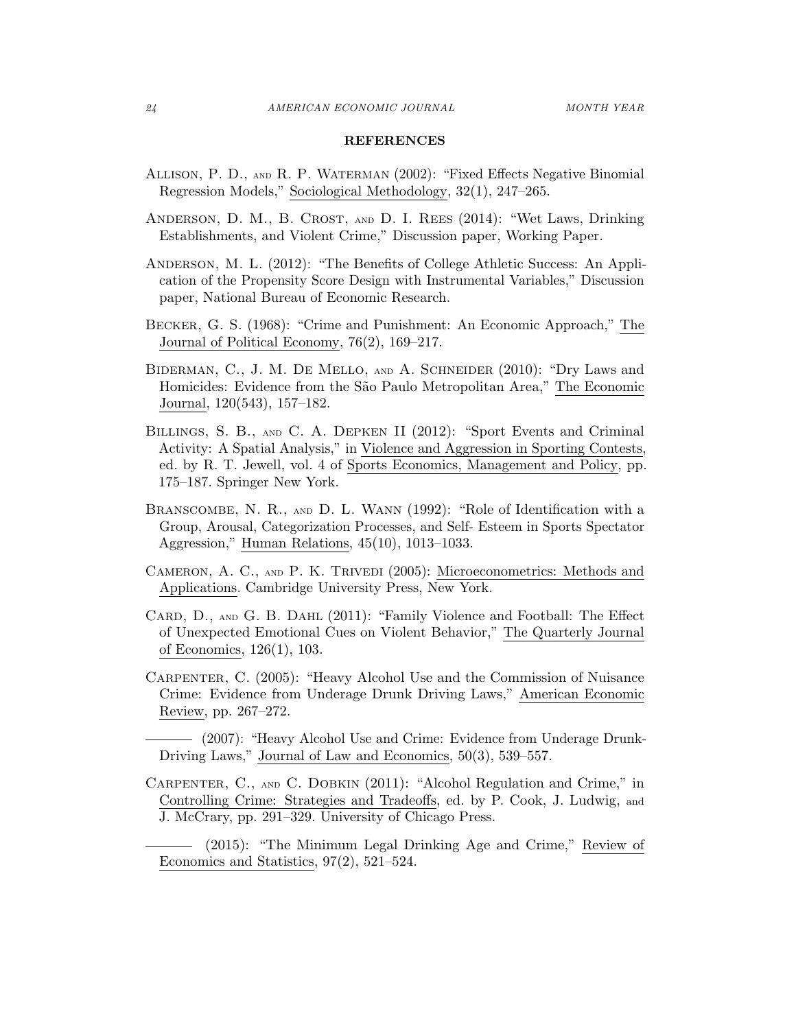### <span id="page-23-0"></span>REFERENCES

- Allison, P. D., and R. P. Waterman (2002): "Fixed Effects Negative Binomial Regression Models," Sociological Methodology, 32(1), 247–265.
- Anderson, D. M., B. Crost, and D. I. Rees (2014): "Wet Laws, Drinking Establishments, and Violent Crime," Discussion paper, Working Paper.
- Anderson, M. L. (2012): "The Benefits of College Athletic Success: An Application of the Propensity Score Design with Instrumental Variables," Discussion paper, National Bureau of Economic Research.
- Becker, G. S. (1968): "Crime and Punishment: An Economic Approach," The Journal of Political Economy, 76(2), 169–217.
- Biderman, C., J. M. De Mello, and A. Schneider (2010): "Dry Laws and Homicides: Evidence from the São Paulo Metropolitan Area," The Economic Journal, 120(543), 157–182.
- Billings, S. B., and C. A. Depken II (2012): "Sport Events and Criminal Activity: A Spatial Analysis," in Violence and Aggression in Sporting Contests, ed. by R. T. Jewell, vol. 4 of Sports Economics, Management and Policy, pp. 175–187. Springer New York.
- Branscombe, N. R., and D. L. Wann (1992): "Role of Identification with a Group, Arousal, Categorization Processes, and Self- Esteem in Sports Spectator Aggression," Human Relations, 45(10), 1013–1033.
- Cameron, A. C., and P. K. Trivedi (2005): Microeconometrics: Methods and Applications. Cambridge University Press, New York.
- CARD, D., AND G. B. DAHL (2011): "Family Violence and Football: The Effect of Unexpected Emotional Cues on Violent Behavior," The Quarterly Journal of Economics, 126(1), 103.
- Carpenter, C. (2005): "Heavy Alcohol Use and the Commission of Nuisance Crime: Evidence from Underage Drunk Driving Laws," American Economic Review, pp. 267–272.

(2007): "Heavy Alcohol Use and Crime: Evidence from Underage Drunk-Driving Laws," Journal of Law and Economics, 50(3), 539–557.

Carpenter, C., and C. Dobkin (2011): "Alcohol Regulation and Crime," in Controlling Crime: Strategies and Tradeoffs, ed. by P. Cook, J. Ludwig, and J. McCrary, pp. 291–329. University of Chicago Press.

(2015): "The Minimum Legal Drinking Age and Crime," Review of Economics and Statistics, 97(2), 521–524.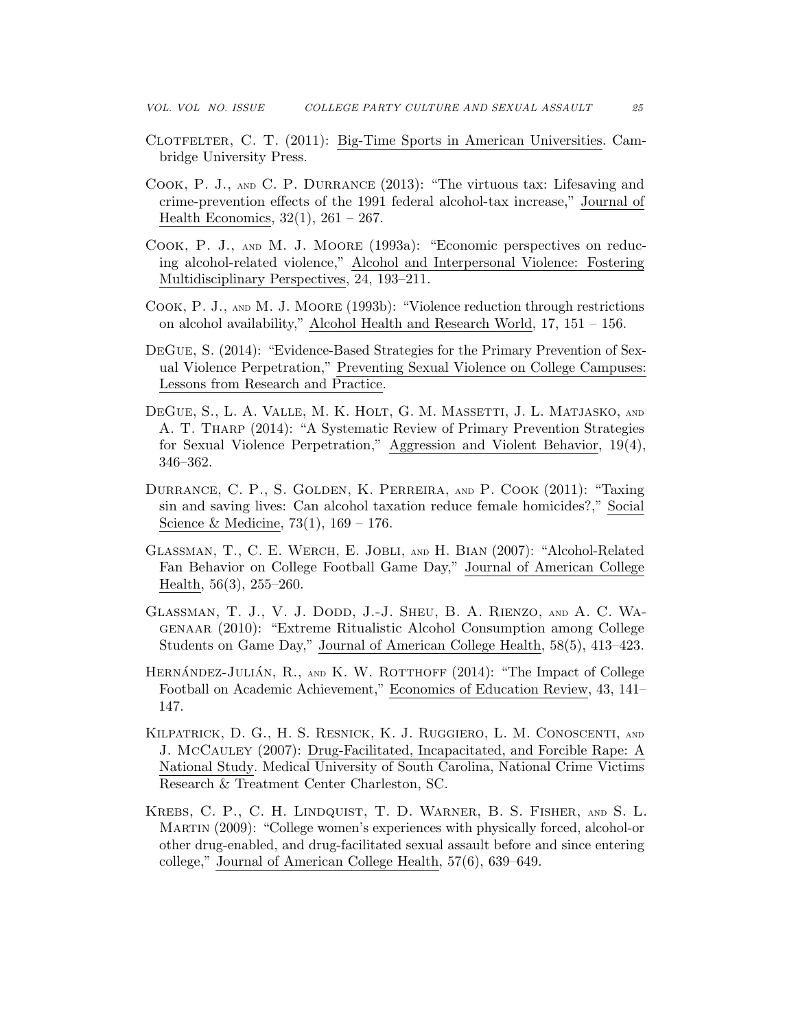- Clotfelter, C. T. (2011): Big-Time Sports in American Universities. Cambridge University Press.
- Cook, P. J., and C. P. Durrance (2013): "The virtuous tax: Lifesaving and crime-prevention effects of the 1991 federal alcohol-tax increase," Journal of Health Economics,  $32(1)$ ,  $261 - 267$ .
- Cook, P. J., and M. J. Moore (1993a): "Economic perspectives on reducing alcohol-related violence," Alcohol and Interpersonal Violence: Fostering Multidisciplinary Perspectives, 24, 193–211.
- Cook, P. J., and M. J. Moore (1993b): "Violence reduction through restrictions on alcohol availability," Alcohol Health and Research World, 17, 151 – 156.
- DeGue, S. (2014): "Evidence-Based Strategies for the Primary Prevention of Sexual Violence Perpetration," Preventing Sexual Violence on College Campuses: Lessons from Research and Practice.
- DeGue, S., L. A. Valle, M. K. Holt, G. M. Massetti, J. L. Matjasko, and A. T. Tharp (2014): "A Systematic Review of Primary Prevention Strategies for Sexual Violence Perpetration," Aggression and Violent Behavior, 19(4), 346–362.
- Durrance, C. P., S. Golden, K. Perreira, and P. Cook (2011): "Taxing sin and saving lives: Can alcohol taxation reduce female homicides?," Social Science & Medicine, 73(1), 169 – 176.
- Glassman, T., C. E. Werch, E. Jobli, and H. Bian (2007): "Alcohol-Related Fan Behavior on College Football Game Day," Journal of American College Health, 56(3), 255–260.
- Glassman, T. J., V. J. Dodd, J.-J. Sheu, B. A. Rienzo, and A. C. Wagenaar (2010): "Extreme Ritualistic Alcohol Consumption among College Students on Game Day," Journal of American College Health, 58(5), 413–423.
- HERNÁNDEZ-JULIÁN,  $R_{\cdot}$ , and K. W. ROTTHOFF (2014): "The Impact of College Football on Academic Achievement," Economics of Education Review, 43, 141– 147.
- Kilpatrick, D. G., H. S. Resnick, K. J. Ruggiero, L. M. Conoscenti, and J. McCauley (2007): Drug-Facilitated, Incapacitated, and Forcible Rape: A National Study. Medical University of South Carolina, National Crime Victims Research & Treatment Center Charleston, SC.
- Krebs, C. P., C. H. Lindquist, T. D. Warner, B. S. Fisher, and S. L. Martin (2009): "College women's experiences with physically forced, alcohol-or other drug-enabled, and drug-facilitated sexual assault before and since entering college," Journal of American College Health, 57(6), 639–649.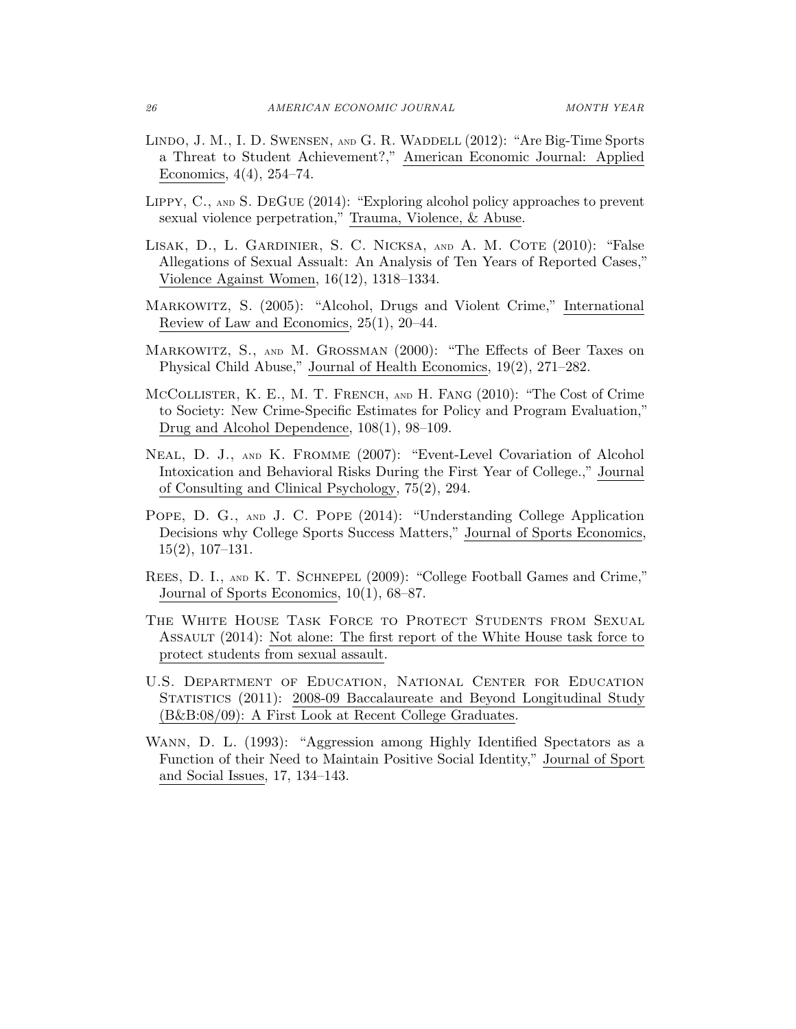- LINDO, J. M., I. D. SWENSEN, AND G. R. WADDELL (2012): "Are Big-Time Sports a Threat to Student Achievement?," American Economic Journal: Applied Economics, 4(4), 254–74.
- LIPPY, C., AND S. DEGUE (2014): "Exploring alcohol policy approaches to prevent sexual violence perpetration," Trauma, Violence, & Abuse.
- LISAK, D., L. GARDINIER, S. C. NICKSA, AND A. M. COTE (2010): "False Allegations of Sexual Assualt: An Analysis of Ten Years of Reported Cases," Violence Against Women, 16(12), 1318–1334.
- Markowitz, S. (2005): "Alcohol, Drugs and Violent Crime," International Review of Law and Economics, 25(1), 20–44.
- Markowitz, S., and M. Grossman (2000): "The Effects of Beer Taxes on Physical Child Abuse," Journal of Health Economics, 19(2), 271–282.
- McCollister, K. E., M. T. French, and H. Fang (2010): "The Cost of Crime to Society: New Crime-Specific Estimates for Policy and Program Evaluation," Drug and Alcohol Dependence, 108(1), 98–109.
- Neal, D. J., and K. Fromme (2007): "Event-Level Covariation of Alcohol Intoxication and Behavioral Risks During the First Year of College.," Journal of Consulting and Clinical Psychology, 75(2), 294.
- POPE, D. G., AND J. C. POPE (2014): "Understanding College Application Decisions why College Sports Success Matters," Journal of Sports Economics, 15(2), 107–131.
- Rees, D. I., and K. T. Schnepel (2009): "College Football Games and Crime," Journal of Sports Economics, 10(1), 68–87.
- The White House Task Force to Protect Students from Sexual ASSAULT (2014): Not alone: The first report of the White House task force to protect students from sexual assault.
- U.S. Department of Education, National Center for Education Statistics (2011): 2008-09 Baccalaureate and Beyond Longitudinal Study (B&B:08/09): A First Look at Recent College Graduates.
- Wann, D. L. (1993): "Aggression among Highly Identified Spectators as a Function of their Need to Maintain Positive Social Identity," Journal of Sport and Social Issues, 17, 134–143.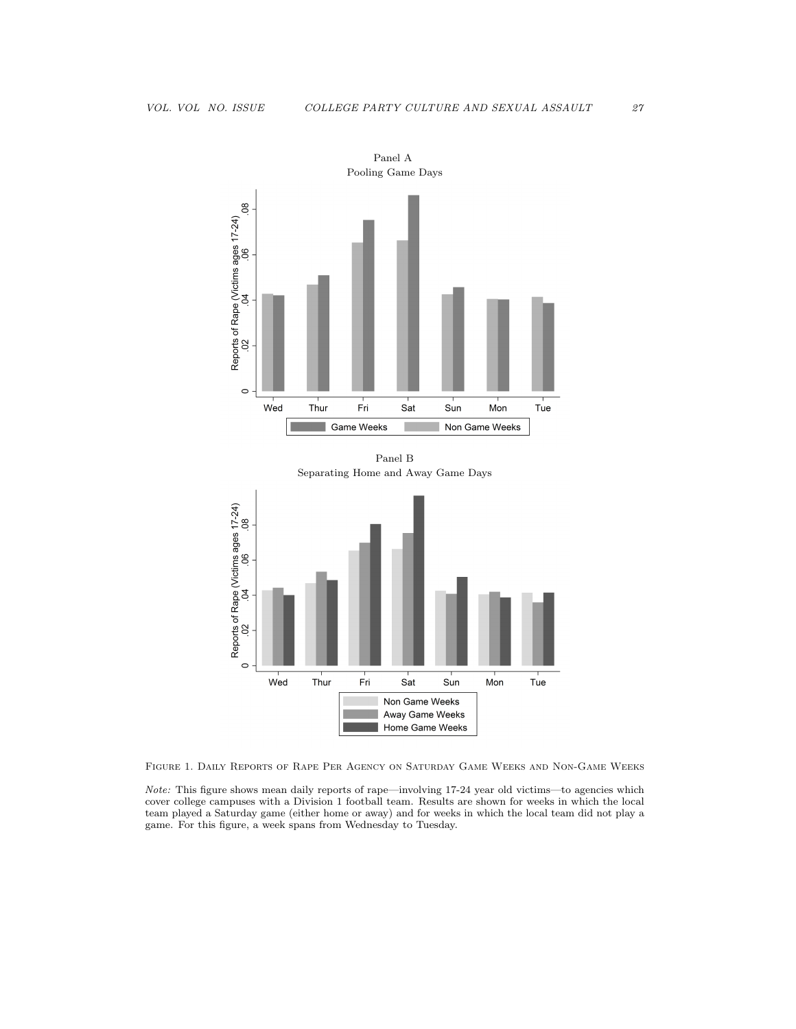

Panel A

Panel B Separating Home and Away Game Days



<span id="page-26-0"></span>Figure 1. Daily Reports of Rape Per Agency on Saturday Game Weeks and Non-Game Weeks

Note: This figure shows mean daily reports of rape—involving 17-24 year old victims—to agencies which cover college campuses with a Division 1 football team. Results are shown for weeks in which the local team played a Saturday game (either home or away) and for weeks in which the local team did not play a game. For this figure, a week spans from Wednesday to Tuesday.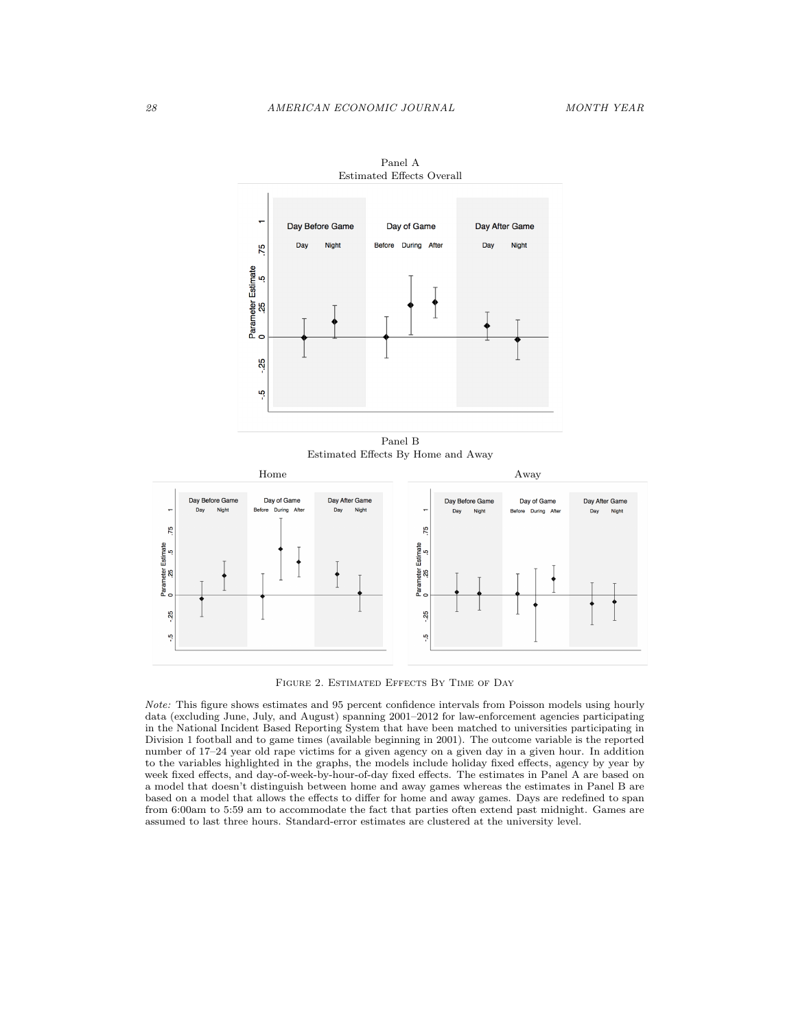

Panel A Estimated Effects Overall

Panel B Estimated Effects By Home and Away



FIGURE 2. ESTIMATED EFFECTS BY TIME OF DAY

Note: This figure shows estimates and 95 percent confidence intervals from Poisson models using hourly data (excluding June, July, and August) spanning 2001–2012 for law-enforcement agencies participating in the National Incident Based Reporting System that have been matched to universities participating in Division 1 football and to game times (available beginning in 2001). The outcome variable is the reported number of 17–24 year old rape victims for a given agency on a given day in a given hour. In addition to the variables highlighted in the graphs, the models include holiday fixed effects, agency by year by week fixed effects, and day-of-week-by-hour-of-day fixed effects. The estimates in Panel A are based on a model that doesn't distinguish between home and away games whereas the estimates in Panel B are based on a model that allows the effects to differ for home and away games. Days are redefined to span from 6:00am to 5:59 am to accommodate the fact that parties often extend past midnight. Games are assumed to last three hours. Standard-error estimates are clustered at the university level.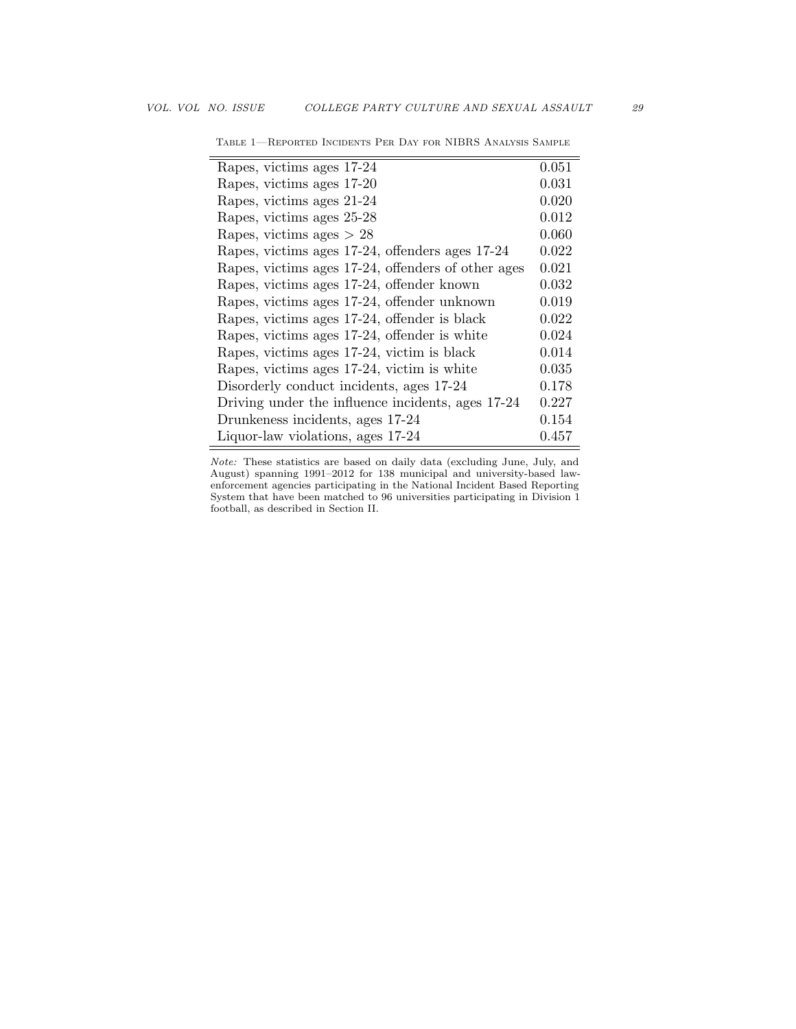| Rapes, victims ages 17-24                          | 0.051 |
|----------------------------------------------------|-------|
| Rapes, victims ages 17-20                          | 0.031 |
| Rapes, victims ages 21-24                          | 0.020 |
| Rapes, victims ages 25-28                          | 0.012 |
| Rapes, victims ages $> 28$                         | 0.060 |
| Rapes, victims ages 17-24, offenders ages 17-24    | 0.022 |
| Rapes, victims ages 17-24, offenders of other ages | 0.021 |
| Rapes, victims ages 17-24, offender known          | 0.032 |
| Rapes, victims ages 17-24, offender unknown        | 0.019 |
| Rapes, victims ages 17-24, offender is black       | 0.022 |
| Rapes, victims ages 17-24, offender is white       | 0.024 |
| Rapes, victims ages 17-24, victim is black         | 0.014 |
| Rapes, victims ages 17-24, victim is white         | 0.035 |
| Disorderly conduct incidents, ages 17-24           | 0.178 |
| Driving under the influence incidents, ages 17-24  | 0.227 |
| Drunkeness incidents, ages 17-24                   | 0.154 |
| Liquor-law violations, ages 17-24                  | 0.457 |

<span id="page-28-0"></span>Table 1—Reported Incidents Per Day for NIBRS Analysis Sample

Note: These statistics are based on daily data (excluding June, July, and August) spanning 1991–2012 for 138 municipal and university-based lawenforcement agencies participating in the National Incident Based Reporting System that have been matched to 96 universities participating in Division 1 football, as described in Section [II.](#page-4-0)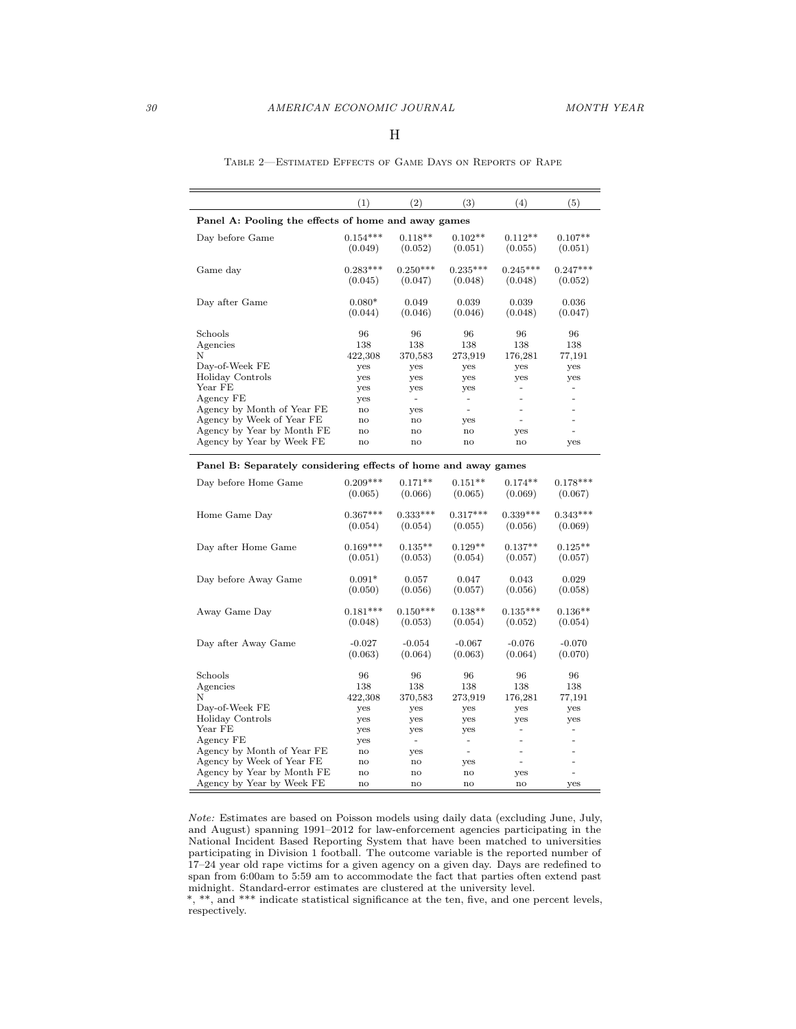### <span id="page-29-0"></span>Table 2—Estimated Effects of Game Days on Reports of Rape

|                                                                                       | (1)                   | (2)                   | (3)                   | (4)                          | (5)                   |  |  |  |  |
|---------------------------------------------------------------------------------------|-----------------------|-----------------------|-----------------------|------------------------------|-----------------------|--|--|--|--|
| Panel A: Pooling the effects of home and away games                                   |                       |                       |                       |                              |                       |  |  |  |  |
| Day before Game                                                                       | $0.154***$<br>(0.049) | $0.118**$<br>(0.052)  | $0.102**$<br>(0.051)  | $0.112**$<br>(0.055)         | $0.107**$<br>(0.051)  |  |  |  |  |
| Game day                                                                              | $0.283***$<br>(0.045) | $0.250***$<br>(0.047) | $0.235***$<br>(0.048) | $0.245***$<br>(0.048)        | $0.247***$<br>(0.052) |  |  |  |  |
| Day after Game                                                                        | $0.080*$<br>(0.044)   | 0.049<br>(0.046)      | 0.039<br>(0.046)      | 0.039<br>(0.048)             | 0.036<br>(0.047)      |  |  |  |  |
| Schools<br>Agencies                                                                   | 96<br>138             | 96<br>138             | 96<br>138             | 96<br>138                    | 96<br>138             |  |  |  |  |
| N<br>Day-of-Week FE<br>Holiday Controls                                               | 422,308<br>yes<br>yes | 370,583<br>yes<br>yes | 273,919<br>yes<br>yes | 176,281<br><b>ves</b><br>yes | 77,191<br>yes<br>yes  |  |  |  |  |
| Year FE<br>Agency FE                                                                  | yes<br>yes            | yes<br>٠              | yes                   |                              |                       |  |  |  |  |
| Agency by Month of Year FE<br>Agency by Week of Year FE<br>Agency by Year by Month FE | no<br>no<br>no        | yes<br>no<br>no       | yes<br>$\mathbf{n}$   | yes                          |                       |  |  |  |  |
| Agency by Year by Week FE                                                             | no                    | $\mathbf{n}$          | $\mathbf{n}$          | $\mathbf{n}$                 | yes                   |  |  |  |  |

### Panel B: Separately considering effects of home and away games

| Day before Home Game                                                 | $0.209***$        | $0.171**$         | $0.151**$                       | $0.174**$       | $0.178***$ |
|----------------------------------------------------------------------|-------------------|-------------------|---------------------------------|-----------------|------------|
|                                                                      | (0.065)           | (0.066)           | (0.065)                         | (0.069)         | (0.067)    |
| Home Game Day                                                        | $0.367***$        | $0.333***$        | $0.317***$                      | $0.339***$      | $0.343***$ |
|                                                                      | (0.054)           | (0.054)           | (0.055)                         | (0.056)         | (0.069)    |
| Day after Home Game                                                  | $0.169***$        | $0.135**$         | $0.129**$                       | $0.137**$       | $0.125**$  |
|                                                                      | (0.051)           | (0.053)           | (0.054)                         | (0.057)         | (0.057)    |
| Day before Away Game                                                 | $0.091*$          | 0.057             | 0.047                           | 0.043           | 0.029      |
|                                                                      | (0.050)           | (0.056)           | (0.057)                         | (0.056)         | (0.058)    |
| Away Game Day                                                        | $0.181***$        | $0.150***$        | $0.138**$                       | $0.135***$      | $0.136**$  |
|                                                                      | (0.048)           | (0.053)           | (0.054)                         | (0.052)         | (0.054)    |
| Day after Away Game                                                  | $-0.027$          | $-0.054$          | $-0.067$                        | $-0.076$        | $-0.070$   |
|                                                                      | (0.063)           | (0.064)           | (0.063)                         | (0.064)         | (0.070)    |
| Schools                                                              | 96                | 96                | 96                              | 96              | 96         |
| Agencies                                                             | 138               | 138               | 138                             | 138             | 138        |
| N                                                                    | 422,308           | 370,583           | 273,919                         | 176,281         | 77,191     |
| Day-of-Week FE<br>Holiday Controls<br>Year FE                        | yes<br>yes<br>yes | yes<br>yes<br>yes | yes<br>yes<br>yes               | yes<br>yes<br>- | yes<br>yes |
| Agency FE<br>Agency by Month of Year FE<br>Agency by Week of Year FE | yes<br>no<br>no   | yes<br>no         | $\overline{\phantom{a}}$<br>yes |                 |            |
| Agency by Year by Month FE                                           | no                | no                | no                              | yes             | yes        |
| Agency by Year by Week FE                                            | $\mathbf{no}$     | no                | $\mathbf{n}$                    | no              |            |

Note: Estimates are based on Poisson models using daily data (excluding June, July, and August) spanning 1991–2012 for law-enforcement agencies participating in the National Incident Based Reporting System that have been matched to universities participating in Division 1 football. The outcome variable is the reported number of 17–24 year old rape victims for a given agency on a given day. Days are redefined to span from 6:00am to 5:59 am to accommodate the fact that parties often extend past midnight. Standard-error estimates are clustered at the university level.

\*, \*\*, and \*\*\* indicate statistical significance at the ten, five, and one percent levels, respectively.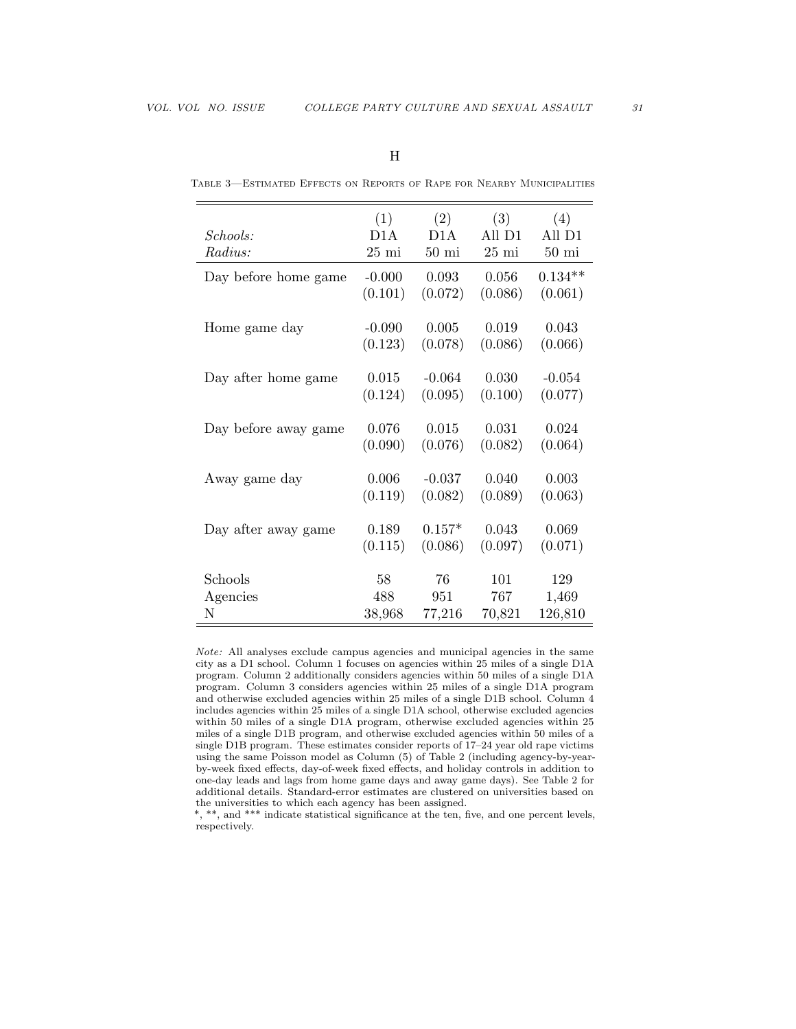# H

|                      | (1)            | (2)              | (3)            | (4)              |
|----------------------|----------------|------------------|----------------|------------------|
| Schools:             | D1A            | D <sub>1</sub> A | All D1         | All D1           |
| Radius:              | $25\ {\rm mi}$ | $50 \text{ mi}$  | $25\ {\rm mi}$ | $50 \mathrm{mi}$ |
| Day before home game | $-0.000$       | 0.093            | 0.056          | $0.134**$        |
|                      | (0.101)        | (0.072)          | (0.086)        | (0.061)          |
|                      |                |                  |                |                  |
| Home game day        | $-0.090$       | 0.005            | 0.019          | 0.043            |
|                      | (0.123)        | (0.078)          | (0.086)        | (0.066)          |
| Day after home game  | 0.015          | $-0.064$         | 0.030          | $-0.054$         |
|                      | (0.124)        | (0.095)          | (0.100)        | (0.077)          |
|                      |                |                  |                |                  |
| Day before away game | 0.076          | 0.015            | 0.031          | 0.024            |
|                      | (0.090)        | (0.076)          | (0.082)        | (0.064)          |
| Away game day        | 0.006          | $-0.037$         | 0.040          | 0.003            |
|                      | (0.119)        | (0.082)          | (0.089)        | (0.063)          |
|                      |                |                  |                |                  |
| Day after away game  | 0.189          | $0.157*$         | 0.043          | 0.069            |
|                      | (0.115)        | (0.086)          | (0.097)        | (0.071)          |
| Schools              |                | 76               |                |                  |
|                      | 58             |                  | 101            | 129              |
| Agencies             | 488            | 951              | 767            | 1,469            |
| Ν                    | 38,968         | 77,216           | 70,821         | 126,810          |

<span id="page-30-0"></span>Table 3—Estimated Effects on Reports of Rape for Nearby Municipalities

Note: All analyses exclude campus agencies and municipal agencies in the same city as a D1 school. Column 1 focuses on agencies within 25 miles of a single D1A program. Column 2 additionally considers agencies within 50 miles of a single D1A program. Column 3 considers agencies within 25 miles of a single D1A program and otherwise excluded agencies within 25 miles of a single D1B school. Column 4 includes agencies within 25 miles of a single D1A school, otherwise excluded agencies within 50 miles of a single D1A program, otherwise excluded agencies within 25 miles of a single D1B program, and otherwise excluded agencies within 50 miles of a single D1B program. These estimates consider reports of 17–24 year old rape victims using the same Poisson model as Column (5) of Table 2 (including agency-by-yearby-week fixed effects, day-of-week fixed effects, and holiday controls in addition to one-day leads and lags from home game days and away game days). See Table 2 for additional details. Standard-error estimates are clustered on universities based on the universities to which each agency has been assigned.

\*, \*\*, and \*\*\* indicate statistical significance at the ten, five, and one percent levels, respectively.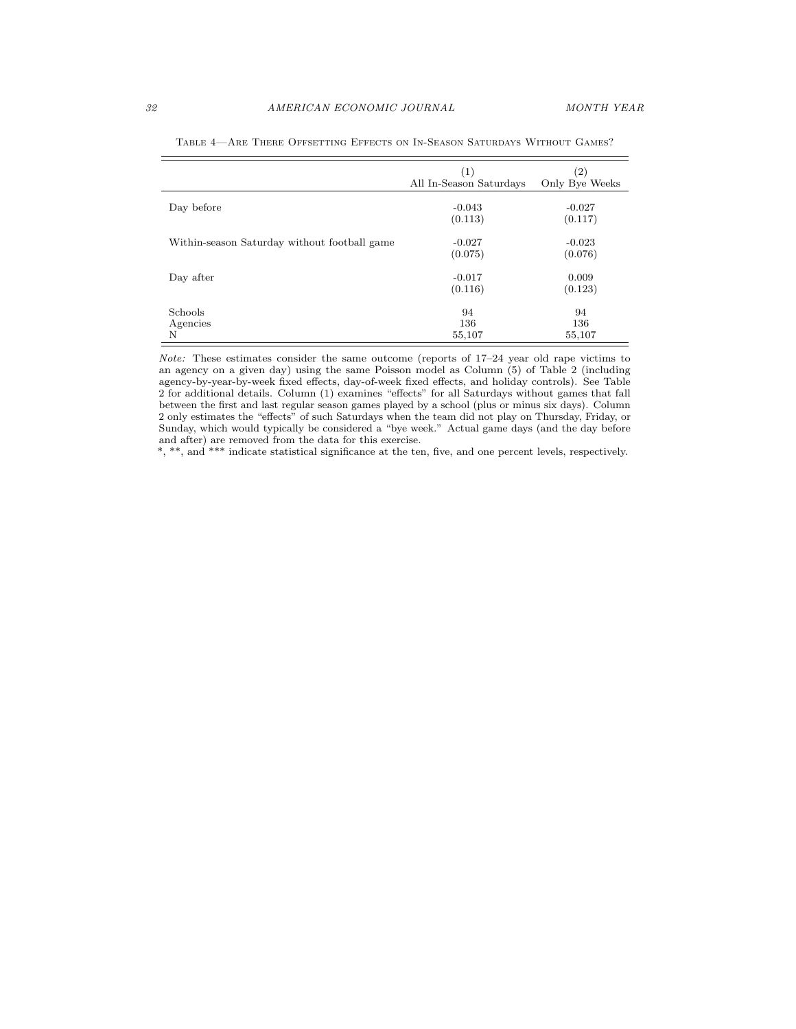|                                              | (1)<br>All In-Season Saturdays | $\left( 2\right)$<br>Only Bye Weeks |
|----------------------------------------------|--------------------------------|-------------------------------------|
| Day before                                   | $-0.043$<br>(0.113)            | $-0.027$<br>(0.117)                 |
| Within-season Saturday without football game | $-0.027$<br>(0.075)            | $-0.023$<br>(0.076)                 |
| Day after                                    | $-0.017$<br>(0.116)            | 0.009<br>(0.123)                    |
| Schools<br>Agencies<br>N                     | 94<br>136<br>55,107            | 94<br>136<br>55,107                 |

<span id="page-31-0"></span>Table 4—Are There Offsetting Effects on In-Season Saturdays Without Games?

Note: These estimates consider the same outcome (reports of 17–24 year old rape victims to an agency on a given day) using the same Poisson model as Column (5) of Table 2 (including agency-by-year-by-week fixed effects, day-of-week fixed effects, and holiday controls). See Table 2 for additional details. Column (1) examines "effects" for all Saturdays without games that fall between the first and last regular season games played by a school (plus or minus six days). Column 2 only estimates the "effects" of such Saturdays when the team did not play on Thursday, Friday, or Sunday, which would typically be considered a "bye week." Actual game days (and the day before and after) are removed from the data for this exercise.

\*, \*\*, and \*\*\* indicate statistical significance at the ten, five, and one percent levels, respectively.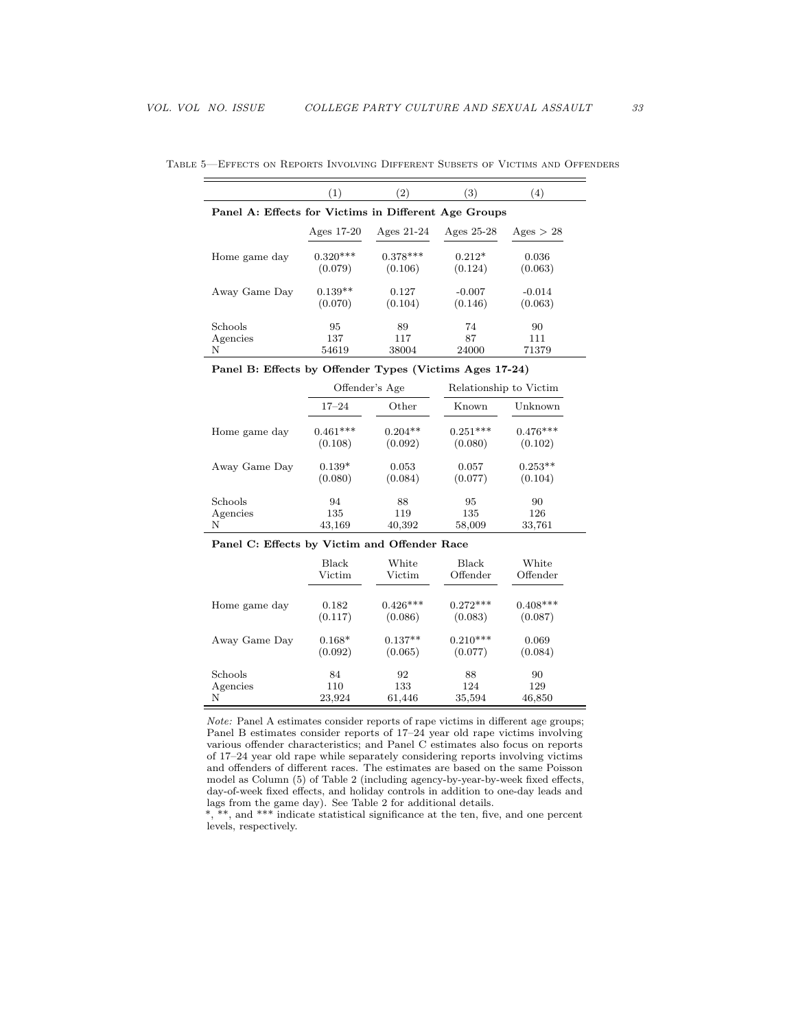<span id="page-32-0"></span>

|                                                      | (1)                   | (2)                   | 3)                  | $^{(4)}$            |  |  |  |  |
|------------------------------------------------------|-----------------------|-----------------------|---------------------|---------------------|--|--|--|--|
| Panel A: Effects for Victims in Different Age Groups |                       |                       |                     |                     |  |  |  |  |
|                                                      | Ages $17-20$          | Ages $21-24$          | Ages $25-28$        | Ages > 28           |  |  |  |  |
| Home game day                                        | $0.320***$<br>(0.079) | $0.378***$<br>(0.106) | $0.212*$<br>(0.124) | 0.036<br>(0.063)    |  |  |  |  |
| Away Game Day                                        | $0.139**$<br>(0.070)  | 0.127<br>(0.104)      | $-0.007$<br>(0.146) | $-0.014$<br>(0.063) |  |  |  |  |
| Schools<br>Agencies<br>N                             | 95<br>137<br>54619    | 89<br>117<br>38004    | 74<br>87<br>24000   | 90<br>111<br>71379  |  |  |  |  |

Table 5—Effects on Reports Involving Different Subsets of Victims and Offenders

|  |  |  | Panel B: Effects by Offender Types (Victims Ages 17-24) |  |  |  |  |  |
|--|--|--|---------------------------------------------------------|--|--|--|--|--|
|--|--|--|---------------------------------------------------------|--|--|--|--|--|

|               | Offender's Age |           | Relationship to Victim |            |  |  |
|---------------|----------------|-----------|------------------------|------------|--|--|
|               | $17 - 24$      | Other     | Known                  | Unknown    |  |  |
| Home game day | $0.461***$     | $0.204**$ | $0.251***$             | $0.476***$ |  |  |
|               | (0.108)        | (0.092)   | (0.080)                | (0.102)    |  |  |
| Away Game Day | $0.139*$       | 0.053     | 0.057                  | $0.253**$  |  |  |
|               | (0.080)        | (0.084)   | (0.077)                | (0.104)    |  |  |
| Schools       | 94             | 88        | 95                     | 90         |  |  |
| Agencies      | 135            | 119       | 135                    | 126        |  |  |
| N             | 43,169         | 40,392    | 58,009                 | 33,761     |  |  |

# Panel C: Effects by Victim and Offender Race

|               | <b>Black</b> | White      | <b>Black</b> | White      |
|---------------|--------------|------------|--------------|------------|
|               | Victim       | Victim     | Offender     | Offender   |
| Home game day | 0.182        | $0.426***$ | $0.272***$   | $0.408***$ |
|               | (0.117)      | (0.086)    | (0.083)      | (0.087)    |
| Away Game Day | $0.168*$     | $0.137**$  | $0.210***$   | 0.069      |
|               | (0.092)      | (0.065)    | (0.077)      | (0.084)    |
| Schools       | 84           | 92         | 88           | 90         |
| Agencies      | 110          | 133        | 124          | 129        |
| N             | 23,924       | 61,446     | 35,594       | 46,850     |

Note: Panel A estimates consider reports of rape victims in different age groups; Panel B estimates consider reports of 17–24 year old rape victims involving various offender characteristics; and Panel C estimates also focus on reports of 17–24 year old rape while separately considering reports involving victims and offenders of different races. The estimates are based on the same Poisson model as Column (5) of Table [2](#page-29-0) (including agency-by-year-by-week fixed effects, day-of-week fixed effects, and holiday controls in addition to one-day leads and lags from the game day). See Table [2](#page-29-0) for additional details.

\*, \*\*, and \*\*\* indicate statistical significance at the ten, five, and one percent levels, respectively.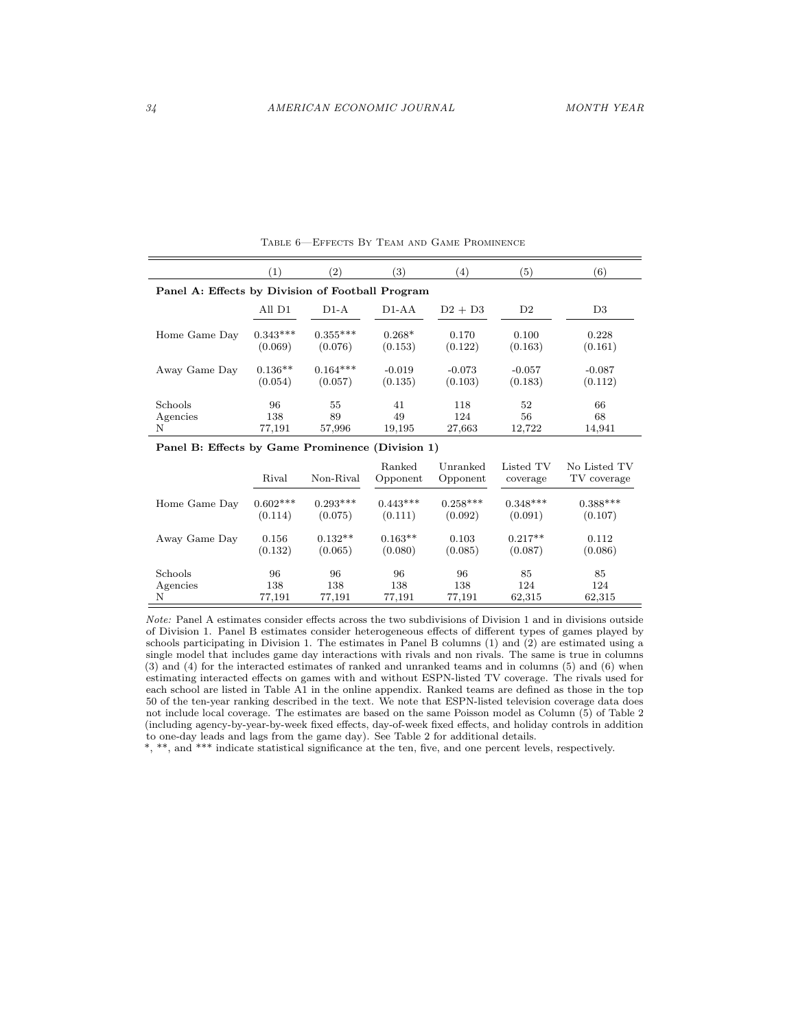|                                                  | (1)        | $\left( 2\right)$ | (3)      | (4)       | $\left( 5\right)$ | $\left( 6\right)$ |
|--------------------------------------------------|------------|-------------------|----------|-----------|-------------------|-------------------|
| Panel A: Effects by Division of Football Program |            |                   |          |           |                   |                   |
|                                                  | All D1     | $D1-A$            | $D1-AA$  | $D2 + D3$ | D2                | D <sub>3</sub>    |
| Home Game Day                                    | $0.343***$ | $0.355***$        | $0.268*$ | 0.170     | 0.100             | 0.228             |
|                                                  | (0.069)    | (0.076)           | (0.153)  | (0.122)   | (0.163)           | (0.161)           |
| Away Game Day                                    | $0.136**$  | $0.164***$        | $-0.019$ | $-0.073$  | $-0.057$          | $-0.087$          |
|                                                  | (0.054)    | (0.057)           | (0.135)  | (0.103)   | (0.183)           | (0.112)           |
| Schools                                          | 96         | 55                | 41       | 118       | 52                | 66                |
| Agencies                                         | 138        | 89                | 49       | 124       | 56                | 68                |
| N                                                | 77,191     | 57,996            | 19,195   | 27,663    | 12,722            | 14.941            |

<span id="page-33-0"></span>Table 6—Effects By Team and Game Prominence

#### Panel B: Effects by Game Prominence (Division 1)

|               | Rival      | Non-Rival  | Ranked<br>Opponent | Unranked<br>Opponent | Listed TV<br>coverage | No Listed TV<br>TV coverage |
|---------------|------------|------------|--------------------|----------------------|-----------------------|-----------------------------|
| Home Game Day | $0.602***$ | $0.293***$ | $0.443***$         | $0.258***$           | $0.348***$            | $0.388***$                  |
|               | (0.114)    | (0.075)    | (0.111)            | (0.092)              | (0.091)               | (0.107)                     |
| Away Game Day | 0.156      | $0.132**$  | $0.163**$          | 0.103                | $0.217**$             | 0.112                       |
|               | (0.132)    | (0.065)    | (0.080)            | (0.085)              | (0.087)               | (0.086)                     |
| Schools       | 96         | 96         | 96                 | 96                   | 85                    | 85                          |
| Agencies      | 138        | 138        | 138                | 138                  | 124                   | 124                         |
| N             | 77,191     | 77,191     | 77,191             | 77,191               | 62,315                | 62,315                      |

Note: Panel A estimates consider effects across the two subdivisions of Division 1 and in divisions outside of Division 1. Panel B estimates consider heterogeneous effects of different types of games played by schools participating in Division 1. The estimates in Panel B columns (1) and (2) are estimated using a single model that includes game day interactions with rivals and non rivals. The same is true in columns (3) and (4) for the interacted estimates of ranked and unranked teams and in columns (5) and (6) when estimating interacted effects on games with and without ESPN-listed TV coverage. The rivals used for each school are listed in Table A1 in the online appendix. Ranked teams are defined as those in the top 50 of the ten-year ranking described in the text. We note that ESPN-listed television coverage data does not include local coverage. The estimates are based on the same Poisson model as Column (5) of Table [2](#page-29-0) (including agency-by-year-by-week fixed effects, day-of-week fixed effects, and holiday controls in addition to one-day leads and lags from the game day). See Table [2](#page-29-0) for additional details.

\*, \*\*, and \*\*\* indicate statistical significance at the ten, five, and one percent levels, respectively.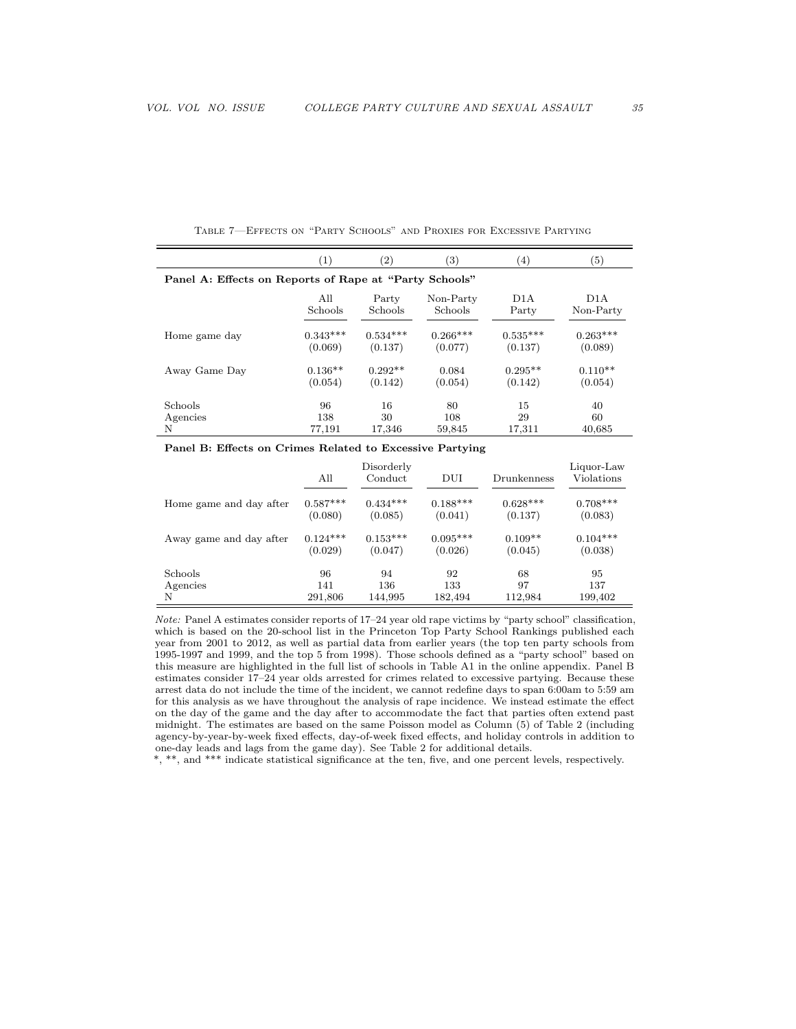|                                                        | $\left(1\right)$ | $\left( 2\right)$ | (3)        | (4)        | $\left( 5\right)$ |  |  |  |  |
|--------------------------------------------------------|------------------|-------------------|------------|------------|-------------------|--|--|--|--|
| Panel A: Effects on Reports of Rape at "Party Schools" |                  |                   |            |            |                   |  |  |  |  |
|                                                        | All              | Party             | Non-Party  | D1A        | D <sub>1</sub> A  |  |  |  |  |
|                                                        | Schools          | Schools           | Schools    | Party      | Non-Party         |  |  |  |  |
| Home game day                                          | $0.343***$       | $0.534***$        | $0.266***$ | $0.535***$ | $0.263***$        |  |  |  |  |
|                                                        | (0.069)          | (0.137)           | (0.077)    | (0.137)    | (0.089)           |  |  |  |  |
| Away Game Day                                          | $0.136**$        | $0.292**$         | 0.084      | $0.295**$  | $0.110**$         |  |  |  |  |
|                                                        | (0.054)          | (0.142)           | (0.054)    | (0.142)    | (0.054)           |  |  |  |  |
| <b>Schools</b>                                         | 96               | 16                | 80         | 15         | 40                |  |  |  |  |
| Agencies                                               | 138              | 30                | 108        | 29         | 60                |  |  |  |  |
| N                                                      | 77,191           | 17,346            | 59,845     | 17,311     | 40,685            |  |  |  |  |

<span id="page-34-0"></span>Table 7—Effects on "Party Schools" and Proxies for Excessive Partying

Panel B: Effects on Crimes Related to Excessive Partying

|                         | All        | Disorderly<br>Conduct | DUI        | Drunkenness | Liquor-Law<br>Violations |
|-------------------------|------------|-----------------------|------------|-------------|--------------------------|
| Home game and day after | $0.587***$ | $0.434***$            | $0.188***$ | $0.628***$  | $0.708***$               |
|                         | (0.080)    | (0.085)               | (0.041)    | (0.137)     | (0.083)                  |
| Away game and day after | $0.124***$ | $0.153***$            | $0.095***$ | $0.109**$   | $0.104***$               |
|                         | (0.029)    | (0.047)               | (0.026)    | (0.045)     | (0.038)                  |
| Schools                 | 96         | 94                    | 92         | 68          | 95                       |
| Agencies                | 141        | 136                   | 133        | 97          | 137                      |
| N                       | 291,806    | 144,995               | 182,494    | 112,984     | 199,402                  |

Note: Panel A estimates consider reports of 17–24 year old rape victims by "party school" classification, which is based on the 20-school list in the Princeton Top Party School Rankings published each year from 2001 to 2012, as well as partial data from earlier years (the top ten party schools from 1995-1997 and 1999, and the top 5 from 1998). Those schools defined as a "party school" based on this measure are highlighted in the full list of schools in Table A1 in the online appendix. Panel B estimates consider 17–24 year olds arrested for crimes related to excessive partying. Because these arrest data do not include the time of the incident, we cannot redefine days to span 6:00am to 5:59 am for this analysis as we have throughout the analysis of rape incidence. We instead estimate the effect on the day of the game and the day after to accommodate the fact that parties often extend past midnight. The estimates are based on the same Poisson model as Column (5) of Table [2](#page-29-0) (including agency-by-year-by-week fixed effects, day-of-week fixed effects, and holiday controls in addition to one-day leads and lags from the game day). See Table [2](#page-29-0) for additional details.

\*, \*\*, and \*\*\* indicate statistical significance at the ten, five, and one percent levels, respectively.